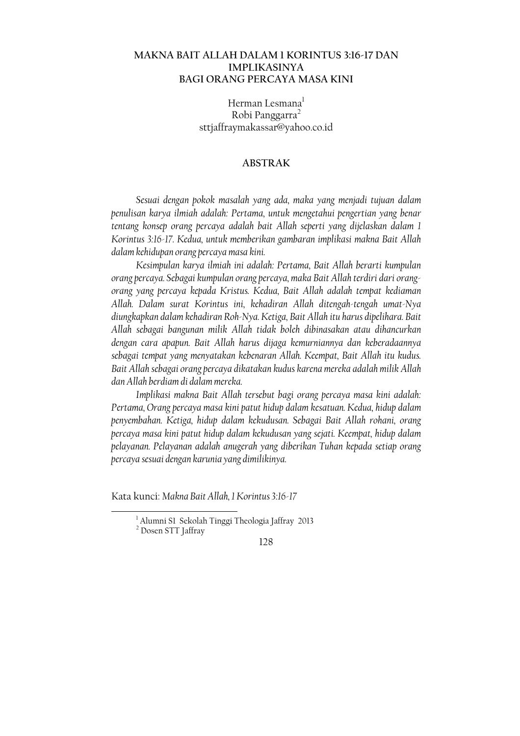# **MAKNA BAIT ALLAH DALAM 1 KORINTUS 3:16-17 DAN IMPLIKASINYA BAGI ORANG PERCAYA MASA KINI**

Herman Lesmana<sup>l</sup> Robi Panggarra<sup>2</sup> sttjaffraymakassar@yahoo.co.id

## **ABSTRAK**

Sesuai dengan pokok masalah yang ada, maka yang menjadi tujuan dalam penulisan karya ilmiah adalah: Pertama, untuk mengetahui pengertian yang benar tentang konsep orang percaya adalah bait Allah seperti yang dijelaskan dalam 1 Korintus 3:16-17. Kedua, untuk memberikan gambaran implikasi makna Bait Allah dalam kehidupan orang percaya masa kini.

Kesimpulan karya ilmiah ini adalah: Pertama, Bait Allah berarti kumpulan orang percaya. Sebagai kumpulan orang percaya, maka Bait Allah terdiri dari orangorang yang percaya kepada Kristus. Kedua, Bait Allah adalah tempat kediaman Allah. Dalam surat Korintus ini, kehadiran Allah ditengah-tengah umat-Nya diungkapkan dalam kehadiran Roh-Nya. Ketiga, Bait Allah itu harus dipelihara. Bait Allah sebagai bangunan milik Allah tidak boleh dibinasakan atau dihancurkan dengan cara apapun. Bait Allah harus dijaga kemurniannya dan keberadaannya sebagai tempat yang menyatakan kebenaran Allah. Keempat, Bait Allah itu kudus. Bait Allah sebagai orang percaya dikatakan kudus karena mereka adalah milik Allah dan Allah berdiam di dalam mereka.

Implikasi makna Bait Allah tersebut bagi orang percaya masa kini adalah: Pertama, Orang percaya masa kini patut hidup dalam kesatuan. Kedua, hidup dalam penyembahan. Ketiga, hidup dalam kekudusan. Sebagai Bait Allah rohani, orang percaya masa kini patut hidup dalam kekudusan yang sejati. Keempat, hidup dalam pelayanan. Pelayanan adalah anugerah yang diberikan Tuhan kepada setiap orang percaya sesuai dengan karunia yang dimilikinya.

Kata kunci: Makna Bait Allah, 1 Korintus 3:16-17

<sup>&</sup>lt;sup>1</sup> Alumni S1 Sekolah Tinggi Theologia Jaffray 2013

<sup>&</sup>lt;sup>2</sup> Dosen STT Jaffray

<sup>128</sup>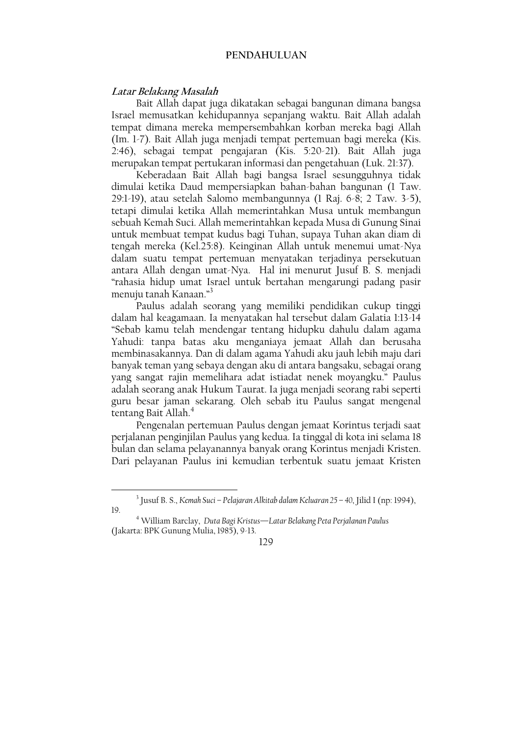### PENDAHULUAN

### Latar Belakang Masalah

Bait Allah dapat juga dikatakan sebagai bangunan dimana bangsa Israel memusatkan kehidupannya sepanjang waktu. Bait Allah adalah tempat dimana mereka mempersembahkan korban mereka bagi Allah (Im. 1-7). Bait Allah juga menjadi tempat pertemuan bagi mereka (Kis. 2:46), sebagai tempat pengajaran (Kis. 5:20-21). Bait Allah juga merupakan tempat pertukaran informasi dan pengetahuan (Luk. 21:37).

Keberadaan Bait Allah bagi bangsa Israel sesungguhnya tidak dimulai ketika Daud mempersiapkan bahan-bahan bangunan (1 Taw. 29:1-19), atau setelah Salomo membangunnya (1 Raj. 6-8; 2 Taw. 3-5), tetapi dimulai ketika Allah memerintahkan Musa untuk membangun sebuah Kemah Suci. Allah memerintahkan kepada Musa di Gunung Sinai untuk membuat tempat kudus bagi Tuhan, supaya Tuhan akan diam di tengah mereka (Kel.25:8). Keinginan Allah untuk menemui umat-Nya dalam suatu tempat pertemuan menyatakan terjadinya persekutuan antara Allah dengan umat-Nya. Hal ini menurut Jusuf B. S. menjadi "rahasia hidup umat Israel untuk bertahan mengarungi padang pasir menuju tanah Kanaan."<sup>3</sup>

Paulus adalah seorang yang memiliki pendidikan cukup tinggi dalam hal keagamaan. Ia menyatakan hal tersebut dalam Galatia 1:13-14 "Sebab kamu telah mendengar tentang hidupku dahulu dalam agama Yahudi: tanpa batas aku menganiaya jemaat Allah dan berusaha membinasakannya. Dan di dalam agama Yahudi aku jauh lebih maju dari banyak teman yang sebaya dengan aku di antara bangsaku, sebagai orang yang sangat rajin memelihara adat istiadat nenek moyangku." Paulus adalah seorang anak Hukum Taurat. Ia juga menjadi seorang rabi seperti guru besar jaman sekarang. Oleh sebab itu Paulus sangat mengenal tentang Bait Allah.<sup>4</sup>

Pengenalan pertemuan Paulus dengan jemaat Korintus terjadi saat perjalanan penginjilan Paulus yang kedua. Ia tinggal di kota ini selama 18 bulan dan selama pelayanannya banyak orang Korintus menjadi Kristen. Dari pelayanan Paulus ini kemudian terbentuk suatu jemaat Kristen

<sup>&</sup>lt;sup>3</sup> Jusuf B. S., *Kemah Suci – Pelajaran Alkitab dalam Keluaran 25 – 40*, Jilid I (np. 1994), 19.

<sup>&</sup>lt;sup>4</sup> William Barclay, Duta Bagi Kristus-Latar Belakang Peta Perjalanan Paulus (Jakarta: BPK Gunung Mulia, 1985), 9-13.

<sup>129</sup>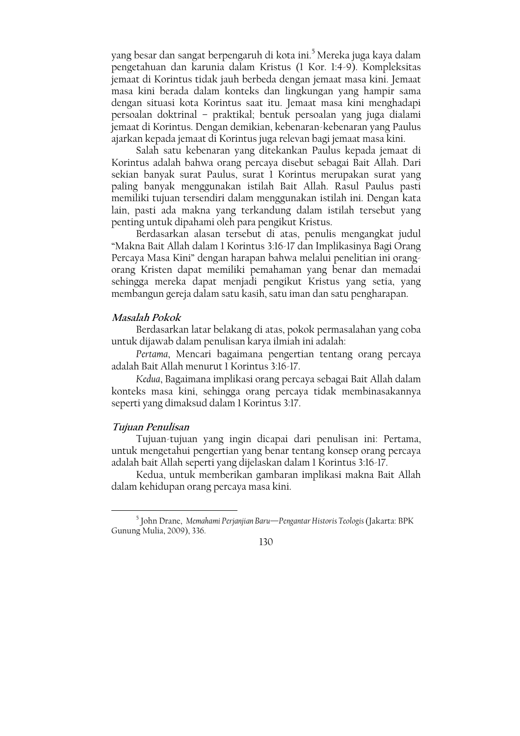yang besar dan sangat berpengaruh di kota ini.<sup>5</sup> Mereka juga kaya dalam pengetahuan dan karunia dalam Kristus (1 Kor. 1:4-9). Kompleksitas jemaat di Korintus tidak jauh berbeda dengan jemaat masa kini. Jemaat masa kini berada dalam konteks dan lingkungan yang hampir sama dengan situasi kota Korintus saat itu. Jemaat masa kini menghadapi persoalan doktrinal – praktikal; bentuk persoalan yang juga dialami jemaat di Korintus. Dengan demikian, kebenaran-kebenaran yang Paulus ajarkan kepada jemaat di Korintus juga relevan bagi jemaat masa kini.

Salah satu kebenaran yang ditekankan Paulus kepada jemaat di Korintus adalah bahwa orang percaya disebut sebagai Bait Allah. Dari sekian banyak surat Paulus, surat 1 Korintus merupakan surat yang paling banyak menggunakan istilah Bait Allah. Rasul Paulus pasti memiliki tujuan tersendiri dalam menggunakan istilah ini. Dengan kata lain, pasti ada makna yang terkandung dalam istilah tersebut yang penting untuk dipahami oleh para pengikut Kristus.

Berdasarkan alasan tersebut di atas, penulis mengangkat judul "Makna Bait Allah dalam 1 Korintus 3:16-17 dan Implikasinya Bagi Orang Percaya Masa Kini" dengan harapan bahwa melalui penelitian ini orangorang Kristen dapat memiliki pemahaman yang benar dan memadai sehingga mereka dapat menjadi pengikut Kristus yang setia, yang membangun gereja dalam satu kasih, satu iman dan satu pengharapan.

### Masalah Pokok

Berdasarkan latar belakang di atas, pokok permasalahan yang coba untuk dijawab dalam penulisan karya ilmiah ini adalah:

Pertama, Mencari bagaimana pengertian tentang orang percaya adalah Bait Allah menurut 1 Korintus 3:16-17.

Kedua, Bagaimana implikasi orang percaya sebagai Bait Allah dalam konteks masa kini, sehingga orang percaya tidak membinasakannya seperti yang dimaksud dalam 1 Korintus 3:17.

## Tujuan Penulisan

Tujuan-tujuan yang ingin dicapai dari penulisan ini: Pertama, untuk mengetahui pengertian yang benar tentang konsep orang percaya adalah bait Allah seperti yang dijelaskan dalam 1 Korintus 3:16-17.

Kedua, untuk memberikan gambaran implikasi makna Bait Allah dalam kehidupan orang percaya masa kini.

<sup>&</sup>lt;sup>5</sup> John Drane, Memahami Perjanjian Baru—Pengantar Historis Teologis (Jakarta: BPK Gunung Mulia, 2009), 336.

<sup>130</sup>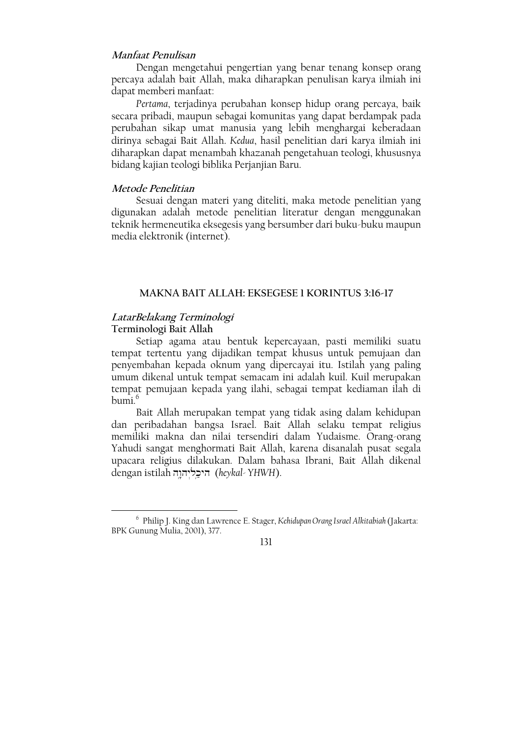# Manfaat Penulisan

Dengan mengetahui pengertian yang benar tenang konsep orang percaya adalah bait Allah, maka diharapkan penulisan karya ilmiah ini dapat memberi manfaat:

Pertama, terjadinya perubahan konsep hidup orang percaya, baik secara pribadi, maupun sebagai komunitas yang dapat berdampak pada perubahan sikap umat manusia yang lebih menghargai keberadaan dirinya sebagai Bait Allah. Kedua, hasil penelitian dari karya ilmiah ini diharapkan dapat menambah khazanah pengetahuan teologi, khususnya bidang kajian teologi biblika Perjanjian Baru.

### Metode Penelitian

Sesuai dengan materi yang diteliti, maka metode penelitian yang digunakan adalah metode penelitian literatur dengan menggunakan teknik hermeneutika eksegesis yang bersumber dari buku-buku maupun media elektronik (internet).

### **MAKNA BAIT ALLAH: EKSEGESE 1 KORINTUS 3:16-17**

### LatarBelakang Terminologi Terminologi Bait Allah

Setiap agama atau bentuk kepercayaan, pasti memiliki suatu tempat tertentu yang dijadikan tempat khusus untuk pemujaan dan penyembahan kepada oknum yang dipercayai itu. Istilah yang paling umum dikenal untuk tempat semacam ini adalah kuil. Kuil merupakan tempat pemujaan kepada yang ilahi, sebagai tempat kediaman ilah di  $humi<sup>6</sup>$ 

Bait Allah merupakan tempat yang tidak asing dalam kehidupan dan peribadahan bangsa Israel. Bait Allah selaku tempat religius memiliki makna dan nilai tersendiri dalam Yudaisme. Orang-orang Yahudi sangat menghormati Bait Allah, karena disanalah pusat segala upacara religius dilakukan. Dalam bahasa Ibrani, Bait Allah dikenal dengan istilah היכליהוה (heykal-YHWH).

 $131$ 

<sup>&</sup>lt;sup>6</sup> Philip J. King dan Lawrence E. Stager, Kehidupan Orang Israel Alkitabiah (Jakarta: BPK Gunung Mulia, 2001), 377.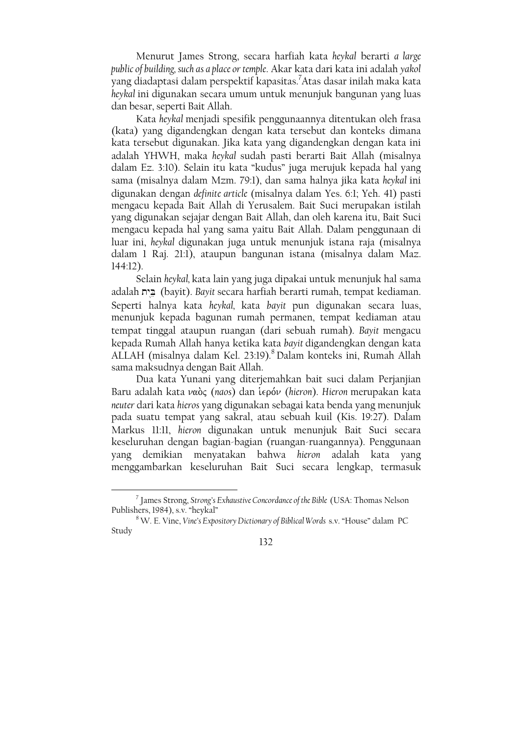Menurut James Strong, secara harfiah kata heykal berarti a large public of building, such as a place or temple. Akar kata dari kata ini adalah yakol yang diadaptasi dalam perspektif kapasitas.<sup>7</sup>Atas dasar inilah maka kata heykal ini digunakan secara umum untuk menunjuk bangunan yang luas dan besar, seperti Bait Allah.

Kata heykal menjadi spesifik penggunaannya ditentukan oleh frasa (kata) yang digandengkan dengan kata tersebut dan konteks dimana kata tersebut digunakan. Jika kata yang digandengkan dengan kata ini adalah YHWH, maka heykal sudah pasti berarti Bait Allah (misalnya dalam Ez. 3:10). Selain itu kata "kudus" juga merujuk kepada hal yang sama (misalnya dalam Mzm. 79:1), dan sama halnya jika kata heykal ini digunakan dengan definite article (misalnya dalam Yes. 6:1; Yeh. 41) pasti mengacu kepada Bait Allah di Yerusalem. Bait Suci merupakan istilah yang digunakan sejajar dengan Bait Allah, dan oleh karena itu, Bait Suci mengacu kepada hal yang sama yaitu Bait Allah. Dalam penggunaan di luar ini, heykal digunakan juga untuk menunjuk istana raja (misalnya dalam 1 Raj. 21:1), ataupun bangunan istana (misalnya dalam Maz.  $144:12$ ).

Selain heykal, kata lain yang juga dipakai untuk menunjuk hal sama adalah ביח (bayit). Bayit secara harfiah berarti rumah, tempat kediaman. Seperti halnya kata heykal, kata bayit pun digunakan secara luas, menunjuk kepada bagunan rumah permanen, tempat kediaman atau tempat tinggal ataupun ruangan (dari sebuah rumah). Bayit mengacu kepada Rumah Allah hanya ketika kata bayit digandengkan dengan kata ALLAH (misalnya dalam Kel. 23:19).8 Dalam konteks ini, Rumah Allah sama maksudnya dengan Bait Allah.

Dua kata Yunani yang diterjemahkan bait suci dalam Perjanjian Baru adalah kata ναός (naos) dan ίερόν (hieron). Hieron merupakan kata neuter dari kata hieros yang digunakan sebagai kata benda yang menunjuk pada suatu tempat yang sakral, atau sebuah kuil (Kis. 19:27). Dalam Markus II:II, hieron digunakan untuk menunjuk Bait Suci secara keseluruhan dengan bagian-bagian (ruangan-ruangannya). Penggunaan demikian menyatakan bahwa hieron adalah kata yang vang menggambarkan keseluruhan Bait Suci secara lengkap, termasuk

<sup>&</sup>lt;sup>7</sup> James Strong, Strong's Exhaustive Concordance of the Bible (USA: Thomas Nelson Publishers, 1984), s.v. "heykal"

<sup>&</sup>lt;sup>8</sup> W. E. Vine, Vine's Expository Dictionary of Biblical Words s.v. "House" dalam PC Study

<sup>132</sup>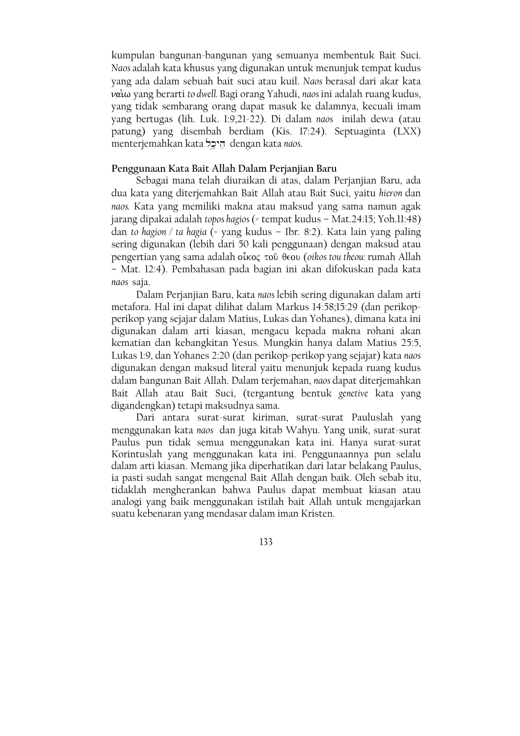kumpulan bangunan-bangunan yang semuanya membentuk Bait Suci. Naos adalah kata khusus yang digunakan untuk menunjuk tempat kudus yang ada dalam sebuah bait suci atau kuil. Naos berasal dari akar kata ναίω yang berarti to dwell. Bagi orang Yahudi, naos ini adalah ruang kudus, yang tidak sembarang orang dapat masuk ke dalamnya, kecuali imam yang bertugas (lih. Luk. 1:9,21-22). Di dalam naos inilah dewa (atau patung) yang disembah berdiam (Kis. 17:24). Septuaginta (LXX) menterjemahkan kata הֵיכֵל dengan kata naos.

# Penggunaan Kata Bait Allah Dalam Perjanjian Baru

Sebagai mana telah diuraikan di atas, dalam Perjanjian Baru, ada dua kata yang diterjemahkan Bait Allah atau Bait Suci, yaitu hieron dan naos. Kata yang memiliki makna atau maksud yang sama namun agak jarang dipakai adalah topos hagios (= tempat kudus - Mat.24:15; Yoh.11:48) dan to hagion / ta hagia (= yang kudus - Ibr. 8:2). Kata lain yang paling sering digunakan (lebih dari 50 kali penggunaan) dengan maksud atau pengertian vang sama adalah οἶκος τοῦ θεου (oikos tou theou: rumah Allah - Mat. 12:4). Pembahasan pada bagian ini akan difokuskan pada kata naos saja.

Dalam Perjanjian Baru, kata naos lebih sering digunakan dalam arti metafora. Hal ini dapat dilihat dalam Markus 14:58;15:29 (dan perikopperikop yang sejajar dalam Matius, Lukas dan Yohanes), dimana kata ini digunakan dalam arti kiasan, mengacu kepada makna rohani akan kematian dan kebangkitan Yesus. Mungkin hanya dalam Matius 25:5, Lukas 1:9, dan Yohanes 2:20 (dan perikop-perikop yang sejajar) kata naos digunakan dengan maksud literal yaitu menunjuk kepada ruang kudus dalam bangunan Bait Allah. Dalam terjemahan, naos dapat diterjemahkan Bait Allah atau Bait Suci, (tergantung bentuk genetive kata yang digandengkan) tetapi maksudnya sama.

Dari antara surat-surat kiriman, surat-surat Pauluslah yang menggunakan kata naos dan juga kitab Wahyu. Yang unik, surat-surat Paulus pun tidak semua menggunakan kata ini. Hanya surat-surat Korintuslah yang menggunakan kata ini. Penggunaannya pun selalu dalam arti kiasan. Memang jika diperhatikan dari latar belakang Paulus, ia pasti sudah sangat mengenal Bait Allah dengan baik. Oleh sebab itu, tidaklah mengherankan bahwa Paulus dapat membuat kiasan atau analogi yang baik menggunakan istilah bait Allah untuk mengajarkan suatu kebenaran yang mendasar dalam iman Kristen.

 $133$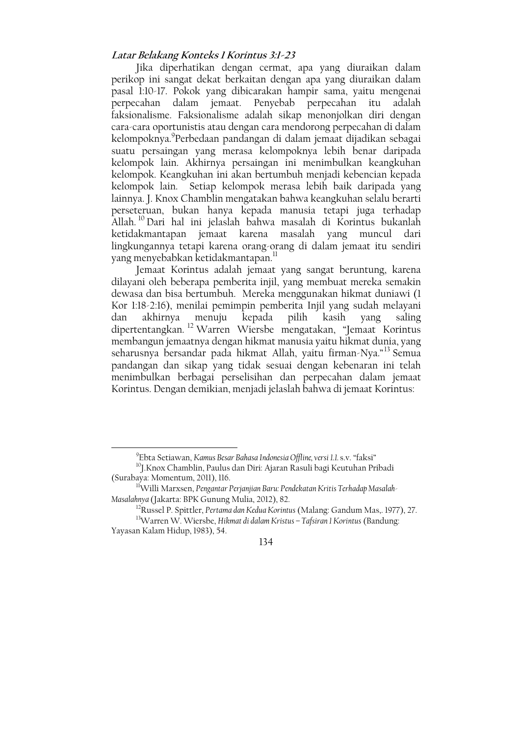## Latar Belakang Konteks I Korintus 3:1-23

Jika diperhatikan dengan cermat, apa yang diuraikan dalam perikop ini sangat dekat berkaitan dengan apa yang diuraikan dalam pasal 1:10-17. Pokok yang dibicarakan hampir sama, yaitu mengenai perpecahan dalam jemaat. Penyebab perpecahan itu adalah faksionalisme. Faksionalisme adalah sikap menonjolkan diri dengan cara-cara oportunistis atau dengan cara mendorong perpecahan di dalam kelompoknya. Perbedaan pandangan di dalam jemaat dijadikan sebagai suatu persaingan yang merasa kelompoknya lebih benar daripada kelompok lain. Akhirnya persaingan ini menimbulkan keangkuhan kelompok. Keangkuhan ini akan bertumbuh menjadi kebencian kepada kelompok lain. Setiap kelompok merasa lebih baik daripada yang lainnya. J. Knox Chamblin mengatakan bahwa keangkuhan selalu berarti perseteruan, bukan hanya kepada manusia tetapi juga terhadap Allah.<sup>10</sup> Dari hal ini jelaslah bahwa masalah di Korintus bukanlah ketidakmantapan jemaat karena masalah yang muncul dari lingkungannya tetapi karena orang-orang di dalam jemaat itu sendiri yang menyebabkan ketidakmantapan.<sup>11</sup>

Jemaat Korintus adalah jemaat yang sangat beruntung, karena dilayani oleh beberapa pemberita injil, yang membuat mereka semakin dewasa dan bisa bertumbuh. Mereka menggunakan hikmat duniawi (1 Kor 1:18-2:16), menilai pemimpin pemberita Injil yang sudah melayani dan akhirnya menuju kepada pilih kasih yang saling<br>dipertentangkan.<sup>12</sup> Warren Wiersbe mengatakan, "Jemaat Korintus membangun jemaatnya dengan hikmat manusia yaitu hikmat dunia, yang seharusnya bersandar pada hikmat Allah, yaitu firman-Nya."<sup>13</sup> Semua pandangan dan sikap yang tidak sesuai dengan kebenaran ini telah menimbulkan berbagai perselisihan dan perpecahan dalam jemaat Korintus. Dengan demikian, menjadi jelaslah bahwa di jemaat Korintus:

<sup>&</sup>lt;sup>9</sup>Ebta Setiawan, Kamus Besar Bahasa Indonesia Offline, versi 1.1. s.v. "faksi"

<sup>&</sup>lt;sup>10</sup>J.Knox Chamblin, Paulus dan Diri: Ajaran Rasuli bagi Keutuhan Pribadi (Surabaya: Momentum, 2011), 116.

<sup>&</sup>lt;sup>11</sup>Willi Marxsen, Pengantar Perjanjian Baru: Pendekatan Kritis Terhadap Masalah-Masalahnya (Jakarta: BPK Gunung Mulia, 2012), 82.

<sup>&</sup>lt;sup>12</sup>Russel P. Spittler, Pertama dan Kedua Korintus (Malang: Gandum Mas, 1977), 27.

<sup>&</sup>lt;sup>13</sup>Warren W. Wiersbe, Hikmat di dalam Kristus - Tafsiran 1 Korintus (Bandung: Yayasan Kalam Hidup, 1983), 54.

<sup>134</sup>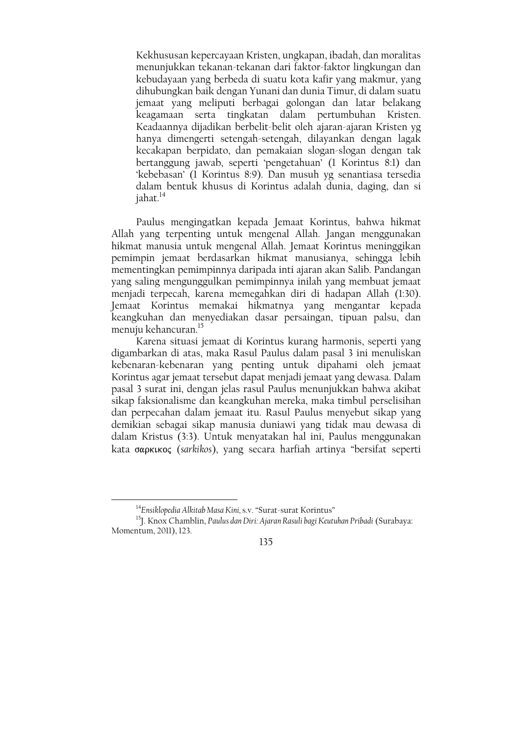Kekhususan kepercayaan Kristen, ungkapan, ibadah, dan moralitas menunjukkan tekanan-tekanan dari faktor-faktor lingkungan dan kebudayaan yang berbeda di suatu kota kafir yang makmur, yang dihubungkan baik dengan Yunani dan dunia Timur, di dalam suatu jemaat yang meliputi berbagai golongan dan latar belakang keagamaan serta tingkatan dalam pertumbuhan Kristen. Keadaannya dijadikan berbelit-belit oleh ajaran-ajaran Kristen yg hanya dimengerti setengah-setengah, dilayankan dengan lagak kecakapan berpidato, dan pemakaian slogan-slogan dengan tak bertanggung jawab, seperti 'pengetahuan' (1 Korintus 8:1) dan 'kebebasan' (1 Korintus 8:9). Dan musuh yg senantiasa tersedia dalam bentuk khusus di Korintus adalah dunia, daging, dan si jahat.<sup>14</sup>

Paulus mengingatkan kepada Jemaat Korintus, bahwa hikmat Allah yang terpenting untuk mengenal Allah. Jangan menggunakan hikmat manusia untuk mengenal Allah. Jemaat Korintus meninggikan pemimpin jemaat berdasarkan hikmat manusianya, sehingga lebih mementingkan pemimpinnya daripada inti ajaran akan Salib. Pandangan yang saling mengunggulkan pemimpinnya inilah yang membuat jemaat menjadi terpecah, karena memegahkan diri di hadapan Allah (1:30). Jemaat Korintus memakai hikmatnya yang mengantar kepada keangkuhan dan menyediakan dasar persaingan, tipuan palsu, dan menuju kehancuran.<sup>15</sup>

Karena situasi jemaat di Korintus kurang harmonis, seperti yang digambarkan di atas, maka Rasul Paulus dalam pasal 3 ini menuliskan kebenaran-kebenaran yang penting untuk dipahami oleh jemaat Korintus agar jemaat tersebut dapat menjadi jemaat yang dewasa. Dalam pasal 3 surat ini, dengan jelas rasul Paulus menunjukkan bahwa akibat sikap faksionalisme dan keangkuhan mereka, maka timbul perselisihan dan perpecahan dalam jemaat itu. Rasul Paulus menyebut sikap yang demikian sebagai sikap manusia duniawi yang tidak mau dewasa di dalam Kristus (3:3). Untuk menyatakan hal ini, Paulus menggunakan kata σαρκικος (sarkikos), yang secara harfiah artinya "bersifat seperti

<sup>&</sup>lt;sup>14</sup>Ensiklopedia Alkitab Masa Kini, s.v. "Surat-surat Korintus"

<sup>&</sup>lt;sup>15</sup>J. Knox Chamblin, Paulus dan Diri: Ajaran Rasuli bagi Keutuhan Pribadi (Surabaya: Momentum, 2011), 123.

<sup>135</sup>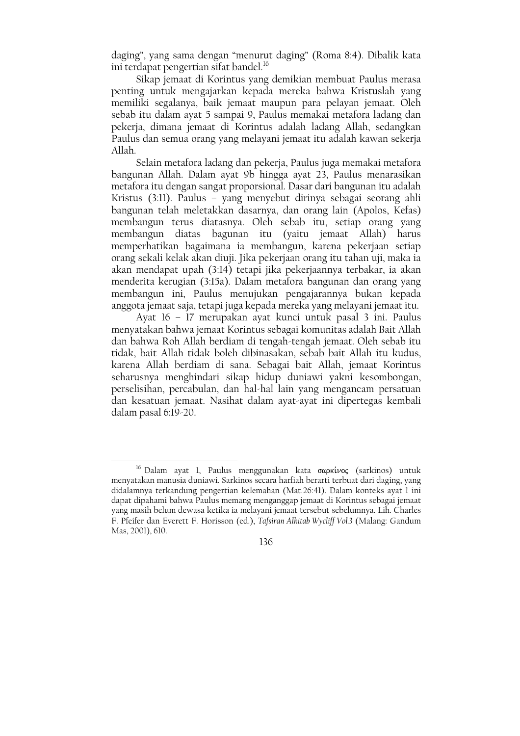daging", yang sama dengan "menurut daging" (Roma 8:4). Dibalik kata ini terdapat pengertian sifat bandel.<sup>16</sup>

Sikap jemaat di Korintus yang demikian membuat Paulus merasa penting untuk mengajarkan kepada mereka bahwa Kristuslah yang memiliki segalanya, baik jemaat maupun para pelayan jemaat. Oleh sebab itu dalam ayat 5 sampai 9, Paulus memakai metafora ladang dan pekerja, dimana jemaat di Korintus adalah ladang Allah, sedangkan Paulus dan semua orang yang melayani jemaat itu adalah kawan sekerja Allah.

Selain metafora ladang dan pekerja, Paulus juga memakai metafora bangunan Allah. Dalam ayat 9b hingga ayat 23, Paulus menarasikan metafora itu dengan sangat proporsional. Dasar dari bangunan itu adalah Kristus (3:11). Paulus - yang menyebut dirinya sebagai seorang ahli bangunan telah meletakkan dasarnya, dan orang lain (Apolos, Kefas) membangun terus diatasnya. Oleh sebab itu, setiap orang yang membangun diatas bagunan itu (yaitu jemaat Allah) harus memperhatikan bagaimana ia membangun, karena pekerjaan setiap orang sekali kelak akan diuji. Jika pekerjaan orang itu tahan uji, maka ia akan mendapat upah (3:14) tetapi jika pekerjaannya terbakar, ia akan menderita kerugian (3:15a). Dalam metafora bangunan dan orang yang membangun ini, Paulus menujukan pengajarannya bukan kepada anggota jemaat saja, tetapi juga kepada mereka yang melayani jemaat itu.

Ayat 16 - 17 merupakan ayat kunci untuk pasal 3 ini. Paulus menyatakan bahwa jemaat Korintus sebagai komunitas adalah Bait Allah dan bahwa Roh Allah berdiam di tengah-tengah jemaat. Oleh sebab itu tidak, bait Allah tidak boleh dibinasakan, sebab bait Allah itu kudus, karena Allah berdiam di sana. Sebagai bait Allah, jemaat Korintus seharusnya menghindari sikap hidup duniawi yakni kesombongan, perselisihan, percabulan, dan hal-hal lain yang mengancam persatuan dan kesatuan jemaat. Nasihat dalam ayat-ayat ini dipertegas kembali dalam pasal  $6:19-20$ .

<sup>&</sup>lt;sup>16</sup> Dalam ayat 1, Paulus menggunakan kata σαρκίνος (sarkinos) untuk menyatakan manusia duniawi. Sarkinos secara harfiah berarti terbuat dari daging, yang didalamnya terkandung pengertian kelemahan (Mat.26:41). Dalam konteks ayat 1 ini dapat dipahami bahwa Paulus memang menganggap jemaat di Korintus sebagai jemaat yang masih belum dewasa ketika ia melayani jemaat tersebut sebelumnya. Lih. Charles F. Pfeifer dan Everett F. Horisson (ed.), Tafsiran Alkitab Wycliff Vol.3 (Malang: Gandum Mas, 2001), 610.

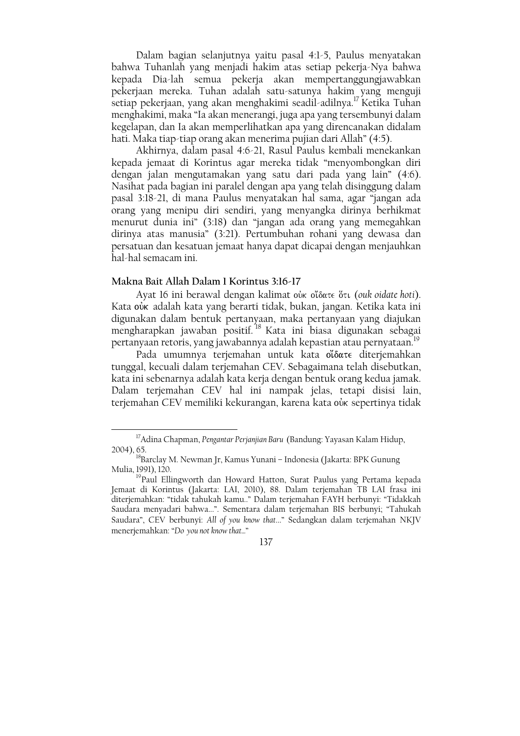Dalam bagian selanjutnya yaitu pasal 4:1-5, Paulus menyatakan bahwa Tuhanlah yang menjadi hakim atas setiap pekerja-Nya bahwa kepada Dia-lah semua pekerja akan mempertanggungjawabkan pekerjaan mereka. Tuhan adalah satu-satunya hakim yang menguji setiap pekerjaan, yang akan menghakimi seadil-adilnya.<sup>17</sup> Ketika Tuhan menghakimi, maka "Ia akan menerangi, juga apa yang tersembunyi dalam kegelapan, dan Ia akan memperlihatkan apa yang direncanakan didalam hati. Maka tiap-tiap orang akan menerima pujian dari Allah" (4:5).

Akhirnya, dalam pasal 4:6-21, Rasul Paulus kembali menekankan kepada jemaat di Korintus agar mereka tidak "menyombongkan diri dengan jalan mengutamakan yang satu dari pada yang lain" (4:6). Nasihat pada bagian ini paralel dengan apa yang telah disinggung dalam pasal 3:18-21, di mana Paulus menyatakan hal sama, agar "jangan ada orang yang menipu diri sendiri, yang menyangka dirinya berhikmat menurut dunia ini" (3:18) dan "jangan ada orang yang memegahkan dirinya atas manusia" (3:21). Pertumbuhan rohani yang dewasa dan persatuan dan kesatuan jemaat hanya dapat dicapai dengan menjauhkan hal-hal semacam ini.

### Makna Bait Allah Dalam 1 Korintus 3:16-17

Ayat 16 ini berawal dengan kalimat où oi'δατε ὅτι (ouk oidate hoti). Kata oùk adalah kata yang berarti tidak, bukan, jangan. Ketika kata ini digunakan dalam bentuk pertanyaan, maka pertanyaan yang diajukan mengharapkan jawaban positif.<sup>18</sup> Kata ini biasa digunakan sebagai pertanyaan retoris, yang jawabannya adalah kepastian atau pernyataan.<sup>19</sup>

Pada umumnya terjemahan untuk kata oloate diterjemahkan tunggal, kecuali dalam terjemahan CEV. Sebagaimana telah disebutkan, kata ini sebenarnya adalah kata kerja dengan bentuk orang kedua jamak. Dalam terjemahan CEV hal ini nampak jelas, tetapi disisi lain, terjemahan CEV memiliki kekurangan, karena kata oùk sepertinya tidak

137

<sup>&</sup>lt;sup>17</sup> Adina Chapman, Pengantar Perjanjian Baru (Bandung: Yayasan Kalam Hidup, 2004), 65.

<sup>&</sup>lt;sup>18</sup>Barclay M. Newman Jr, Kamus Yunani – Indonesia (Jakarta: BPK Gunung Mulia, 1991), 120.

<sup>&</sup>lt;sup>19</sup> Paul Ellingworth dan Howard Hatton, Surat Paulus yang Pertama kepada Jemaat di Korintus (Jakarta: LAI, 2010), 88. Dalam terjemahan TB LAI frasa ini diterjemahkan: "tidak tahukah kamu.." Dalam terjemahan FAYH berbunyi: "Tidakkah Saudara menyadari bahwa...". Sementara dalam terjemahan BIS berbunyi; "Tahukah Saudara", CEV berbunyi: All of you know that..." Sedangkan dalam terjemahan NKJV menerjemahkan: "Do you not know that..."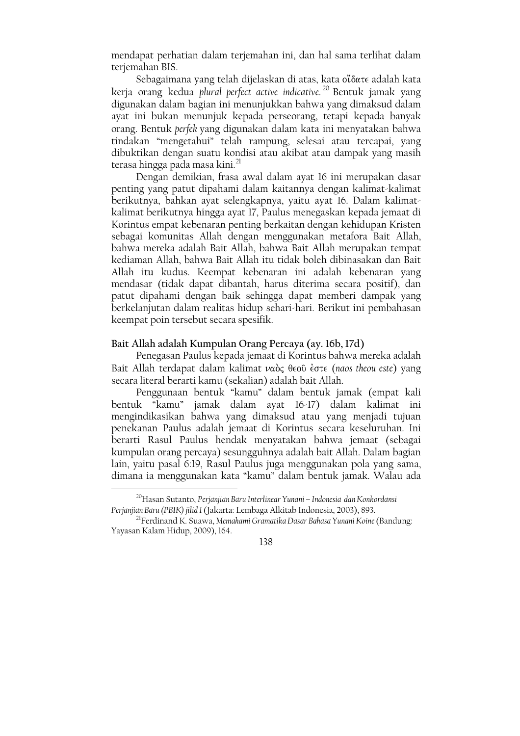mendapat perhatian dalam terjemahan ini, dan hal sama terlihat dalam terjemahan BIS.

Sebagaimana yang telah dijelaskan di atas, kata o'íoate adalah kata kerja orang kedua plural perfect active indicative.<sup>20</sup> Bentuk jamak yang digunakan dalam bagian ini menunjukkan bahwa yang dimaksud dalam ayat ini bukan menunjuk kepada perseorang, tetapi kepada banyak orang. Bentuk perfek yang digunakan dalam kata ini menyatakan bahwa tindakan "mengetahui" telah rampung, selesai atau tercapai, yang dibuktikan dengan suatu kondisi atau akibat atau dampak yang masih terasa hingga pada masa kini.<sup>21</sup>

Dengan demikian, frasa awal dalam ayat 16 ini merupakan dasar penting yang patut dipahami dalam kaitannya dengan kalimat-kalimat berikutnya, bahkan ayat selengkapnya, yaitu ayat 16. Dalam kalimatkalimat berikutnya hingga ayat 17, Paulus menegaskan kepada jemaat di Korintus empat kebenaran penting berkaitan dengan kehidupan Kristen sebagai komunitas Allah dengan menggunakan metafora Bait Allah, bahwa mereka adalah Bait Allah, bahwa Bait Allah merupakan tempat kediaman Allah, bahwa Bait Allah itu tidak boleh dibinasakan dan Bait Allah itu kudus. Keempat kebenaran ini adalah kebenaran yang mendasar (tidak dapat dibantah, harus diterima secara positif), dan patut dipahami dengan baik sehingga dapat memberi dampak yang berkelanjutan dalam realitas hidup sehari-hari. Berikut ini pembahasan keempat poin tersebut secara spesifik.

### Bait Allah adalah Kumpulan Orang Percaya (ay. 16b, 17d)

Penegasan Paulus kepada jemaat di Korintus bahwa mereka adalah Bait Allah terdapat dalam kalimat ναὸς θεοῦ ἐστε (naos theou este) vang secara literal berarti kamu (sekalian) adalah bait Allah.

Penggunaan bentuk "kamu" dalam bentuk jamak (empat kali bentuk "kamu" jamak dalam ayat 16-17) dalam kalimat ini mengindikasikan bahwa yang dimaksud atau yang menjadi tujuan penekanan Paulus adalah jemaat di Korintus secara keseluruhan. Ini berarti Rasul Paulus hendak menyatakan bahwa jemaat (sebagai kumpulan orang percaya) sesungguhnya adalah bait Allah. Dalam bagian lain, yaitu pasal 6:19, Rasul Paulus juga menggunakan pola yang sama, dimana ia menggunakan kata "kamu" dalam bentuk jamak. Walau ada

<sup>&</sup>lt;sup>21</sup>Ferdinand K. Suawa, Memahami Gramatika Dasar Bahasa Yunani Koine (Bandung: Yayasan Kalam Hidup, 2009), 164.



<sup>&</sup>lt;sup>20</sup>Hasan Sutanto, Perjanjian Baru Interlinear Yunani – Indonesia dan Konkordansi Perjanjian Baru (PBIK) jilid I (Jakarta: Lembaga Alkitab Indonesia, 2003), 893.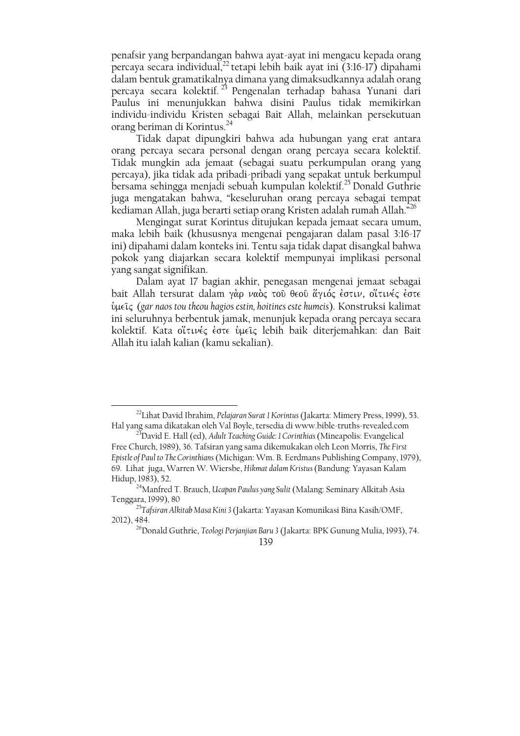penafsir yang berpandangan bahwa ayat-ayat ini mengacu kepada orang percaya secara individual,<sup>22</sup> tetapi lebih baik ayat ini (3:16-17) dipahami dalam bentuk gramatikalnya dimana yang dimaksudkannya adalah orang percaya secara kolektif.<sup>23</sup> Pengenalan terhadap bahasa Yunani dari Paulus ini menunjukkan bahwa disini Paulus tidak memikirkan individu-individu Kristen sebagai Bait Allah, melainkan persekutuan orang beriman di Korintus.<sup>24</sup>

Tidak dapat dipungkiri bahwa ada hubungan yang erat antara orang percaya secara personal dengan orang percaya secara kolektif. Tidak mungkin ada jemaat (sebagai suatu perkumpulan orang yang percaya), jika tidak ada pribadi-pribadi yang sepakat untuk berkumpul bersama sehingga menjadi sebuah kumpulan kolektif.<sup>25</sup> Donald Guthrie juga mengatakan bahwa, "keseluruhan orang percaya sebagai tempat kediaman Allah, juga berarti setiap orang Kristen adalah rumah Allah."<sup>26</sup>

Mengingat surat Korintus ditujukan kepada jemaat secara umum, maka lebih baik (khususnya mengenai pengajaran dalam pasal 3:16-17 ini) dipahami dalam konteks ini. Tentu saja tidak dapat disangkal bahwa pokok yang diajarkan secara kolektif mempunyai implikasi personal yang sangat signifikan.

Dalam ayat 17 bagian akhir, penegasan mengenai jemaat sebagai bait Allah tersurat dalam γάρ ναός του θεου άγιός έστιν, οίτινές έστε ύμεις (gar naos tou theou hagios estin, hoitines este humeis). Konstruksi kalimat ini seluruhnya berbentuk jamak, menunjuk kepada orang percaya secara kolektif. Kata οἴτινές έστε ὑμεῖς lebih baik diterjemahkan: dan Bait Allah itu ialah kalian (kamu sekalian).

<sup>&</sup>lt;sup>22</sup> Lihat David Ibrahim, Pelajaran Surat I Korintus (Jakarta: Mimery Press, 1999), 53. Hal yang sama dikatakan oleh Val Boyle, tersedia di www.bible-truths-revealed.com

<sup>&</sup>lt;sup>23</sup>David E. Hall (ed), Adult Teaching Guide: 1 Corinthias (Mineapolis: Evangelical Free Church, 1989), 36. Tafsiran yang sama dikemukakan oleh Leon Morris, The First Epistle of Paul to The Corinthians (Michigan: Wm. B. Eerdmans Publishing Company, 1979), 69. Lihat juga, Warren W. Wiersbe, Hikmat dalam Kristus (Bandung: Yayasan Kalam Hidup, 1983), 52.

<sup>&</sup>lt;sup>24</sup> Manfred T. Brauch, *Ucapan Paulus yang Sulit (Malang: Seminary Alkitab Asia* Tenggara, 1999), 80

<sup>&</sup>lt;sup>25</sup>Tafsiran Alkitab Masa Kini 3 (Jakarta: Yayasan Komunikasi Bina Kasih/OMF, 2012), 484.

<sup>&</sup>lt;sup>26</sup>Donald Guthrie, Teologi Perjanjian Baru 3 (Jakarta: BPK Gunung Mulia, 1993), 74.

<sup>139</sup>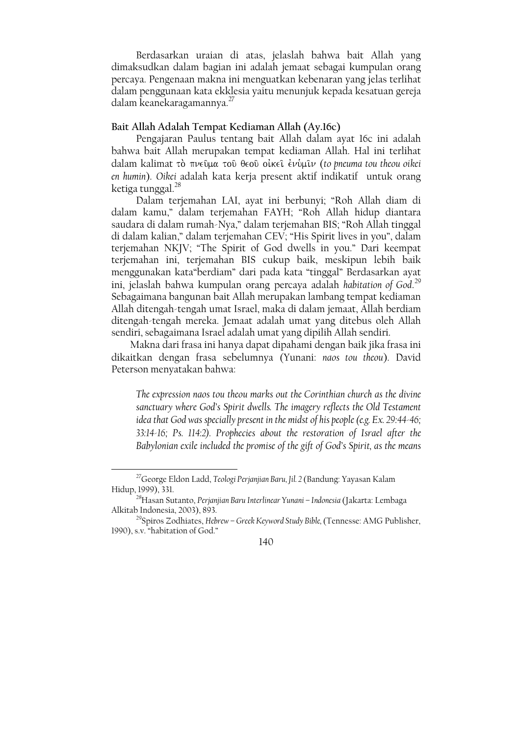Berdasarkan uraian di atas, jelaslah bahwa bait Allah yang dimaksudkan dalam bagian ini adalah jemaat sebagai kumpulan orang percaya. Pengenaan makna ini menguatkan kebenaran yang jelas terlihat dalam penggunaan kata ekklesia yaitu menunjuk kepada kesatuan gereja dalam keanekaragamannya.<sup>27</sup>

### Bait Allah Adalah Tempat Kediaman Allah (Ay.16c)

Pengajaran Paulus tentang bait Allah dalam ayat 16c ini adalah bahwa bait Allah merupakan tempat kediaman Allah. Hal ini terlihat dalam kalimat τὸ πνεῦμα τοῦ θεοῦ οἰκεῖ ἐνὑμῖν (to pneuma tou theou oikei en humin). Oikei adalah kata kerja present aktif indikatif untuk orang ketiga tunggal.<sup>28</sup>

Dalam terjemahan LAI, ayat ini berbunyi; "Roh Allah diam di dalam kamu," dalam terjemahan FAYH; "Roh Allah hidup diantara saudara di dalam rumah-Nya," dalam terjemahan BIS; "Roh Allah tinggal di dalam kalian," dalam terjemahan CEV; "His Spirit lives in you", dalam terjemahan NKJV; "The Spirit of God dwells in you." Dari keempat terjemahan ini, terjemahan BIS cukup baik, meskipun lebih baik menggunakan kata "berdiam" dari pada kata "tinggal" Berdasarkan ayat ini, jelaslah bahwa kumpulan orang percaya adalah habitation of God.<sup>29</sup> Sebagaimana bangunan bait Allah merupakan lambang tempat kediaman Allah ditengah-tengah umat Israel, maka di dalam jemaat, Allah berdiam ditengah-tengah mereka. Jemaat adalah umat yang ditebus oleh Allah sendiri, sebagaimana Israel adalah umat yang dipilih Allah sendiri.

Makna dari frasa ini hanya dapat dipahami dengan baik jika frasa ini dikaitkan dengan frasa sebelumnya (Yunani: naos tou theou). David Peterson menyatakan bahwa:

The expression naos tou theou marks out the Corinthian church as the divine sanctuary where God's Spirit dwells. The imagery reflects the Old Testament idea that God was specially present in the midst of his people (e.g. Ex. 29:44-46; 33:14-16; Ps. 114:2). Prophecies about the restoration of Israel after the Babylonian exile included the promise of the gift of God's Spirit, as the means

<sup>&</sup>lt;sup>27</sup>George Eldon Ladd, Teologi Perjanjian Baru, Jil. 2 (Bandung: Yayasan Kalam Hidup, 1999), 331.

<sup>&</sup>lt;sup>28</sup>Hasan Sutanto, Perjanjian Baru Interlinear Yunani - Indonesia (Jakarta: Lembaga Alkitab Indonesia, 2003), 893.

<sup>&</sup>lt;sup>29</sup>Spiros Zodhiates, Hebrew - Greek Keyword Study Bible, (Tennesse: AMG Publisher, 1990), s.v. "habitation of God."

<sup>140</sup>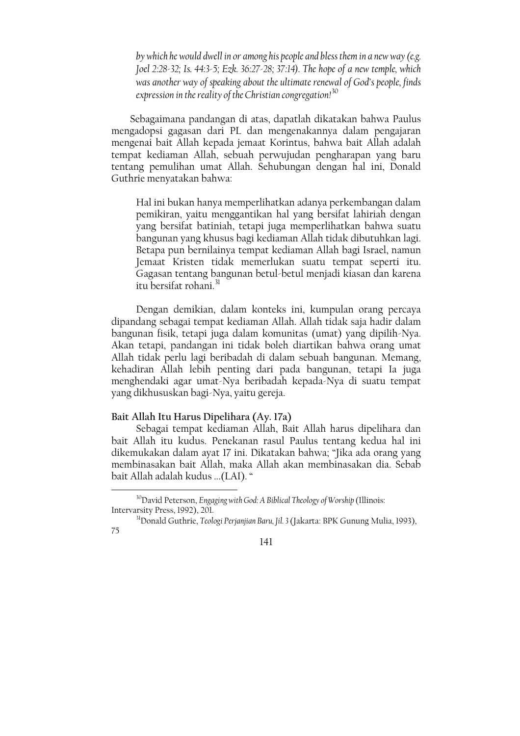by which he would dwell in or among his people and bless them in a new way (e.g. Joel 2:28-32; Is. 44:3-5; Ezk. 36:27-28; 37:14). The hope of a new temple, which was another way of speaking about the ultimate renewal of God's people, finds expression in the reality of the Christian congregation!<sup>30</sup>

Sebagaimana pandangan di atas, dapatlah dikatakan bahwa Paulus mengadopsi gagasan dari PL dan mengenakannya dalam pengajaran mengenai bait Allah kepada jemaat Korintus, bahwa bait Allah adalah tempat kediaman Allah, sebuah perwujudan pengharapan yang baru tentang pemulihan umat Allah. Sehubungan dengan hal ini, Donald Guthrie menyatakan bahwa:

Hal ini bukan hanya memperlihatkan adanya perkembangan dalam pemikiran, yaitu menggantikan hal yang bersifat lahiriah dengan yang bersifat batiniah, tetapi juga memperlihatkan bahwa suatu bangunan yang khusus bagi kediaman Allah tidak dibutuhkan lagi. Betapa pun bernilainya tempat kediaman Allah bagi Israel, namun Jemaat Kristen tidak memerlukan suatu tempat seperti itu. Gagasan tentang bangunan betul-betul menjadi kiasan dan karena itu bersifat rohani.<sup>31</sup>

Dengan demikian, dalam konteks ini, kumpulan orang percaya dipandang sebagai tempat kediaman Allah. Allah tidak saja hadir dalam bangunan fisik, tetapi juga dalam komunitas (umat) yang dipilih-Nya. Akan tetapi, pandangan ini tidak boleh diartikan bahwa orang umat Allah tidak perlu lagi beribadah di dalam sebuah bangunan. Memang, kehadiran Allah lebih penting dari pada bangunan, tetapi Ia juga menghendaki agar umat-Nya beribadah kepada-Nya di suatu tempat yang dikhususkan bagi-Nya, yaitu gereja.

## Bait Allah Itu Harus Dipelihara (Ay. 17a)

Sebagai tempat kediaman Allah, Bait Allah harus dipelihara dan bait Allah itu kudus. Penekanan rasul Paulus tentang kedua hal ini dikemukakan dalam ayat 17 ini. Dikatakan bahwa; "Jika ada orang yang membinasakan bait Allah, maka Allah akan membinasakan dia. Sebab bait Allah adalah kudus ... (LAI). "

<sup>&</sup>lt;sup>30</sup>David Peterson, Engaging with God: A Biblical Theology of Worship (Illinois: Intervarsity Press, 1992), 201.

<sup>&</sup>lt;sup>31</sup>Donald Guthrie, Teologi Perjanjian Baru, Jil. 3 (Jakarta: BPK Gunung Mulia, 1993), 75

 $141$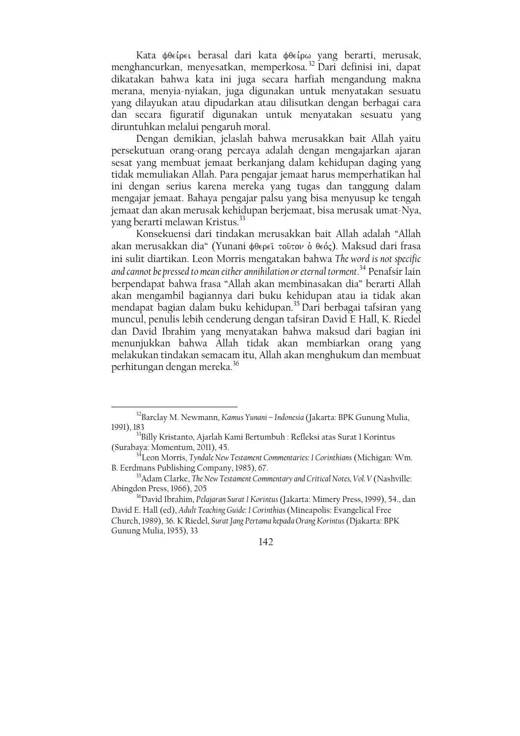Kata φθείρει berasal dari kata φθείρω yang berarti, merusak, menghancurkan, menyesatkan, memperkosa.<sup>32</sup> Dari definisi ini, dapat dikatakan bahwa kata ini juga secara harfiah mengandung makna merana, menyia-nyiakan, juga digunakan untuk menyatakan sesuatu yang dilayukan atau dipudarkan atau dilisutkan dengan berbagai cara dan secara figuratif digunakan untuk menyatakan sesuatu yang diruntuhkan melalui pengaruh moral.

Dengan demikian, jelaslah bahwa merusakkan bait Allah yaitu persekutuan orang-orang percaya adalah dengan mengajarkan ajaran sesat yang membuat jemaat berkanjang dalam kehidupan daging yang tidak memuliakan Allah. Para pengajar jemaat harus memperhatikan hal ini dengan serius karena mereka yang tugas dan tanggung dalam mengajar jemaat. Bahaya pengajar palsu yang bisa menyusup ke tengah jemaat dan akan merusak kehidupan berjemaat, bisa merusak umat-Nya, vang berarti melawan Kristus.<sup>33</sup>

Konsekuensi dari tindakan merusakkan bait Allah adalah "Allah akan merusakkan dia" (Yunani φθερεῖ τοῦτον ὁ θεός). Maksud dari frasa ini sulit diartikan. Leon Morris mengatakan bahwa The word is not specific and cannot be pressed to mean either annihilation or eternal torment.<sup>34</sup> Penafsir lain berpendapat bahwa frasa "Allah akan membinasakan dia" berarti Allah akan mengambil bagiannya dari buku kehidupan atau ia tidak akan mendapat bagian dalam buku kehidupan.<sup>35</sup> Dari berbagai tafsiran yang muncul, penulis lebih cenderung dengan tafsiran David E Hall, K. Riedel dan David Ibrahim yang menyatakan bahwa maksud dari bagian ini menunjukkan bahwa Allah tidak akan membiarkan orang yang melakukan tindakan semacam itu, Allah akan menghukum dan membuat perhitungan dengan mereka.<sup>36</sup>

<sup>&</sup>lt;sup>32</sup>Barclay M. Newmann, Kamus Yunani - Indonesia (Jakarta: BPK Gunung Mulia, 1991) 183

<sup>&</sup>lt;sup>33</sup>Billy Kristanto, Ajarlah Kami Bertumbuh : Refleksi atas Surat 1 Korintus (Surabaya: Momentum, 2011), 45.

<sup>34&</sup>lt;br>Leon Morris, Tyndale New Testament Commentaries: 1 Corinthians (Michigan: Wm. B. Eerdmans Publishing Company, 1985), 67.

<sup>&</sup>lt;sup>35</sup>Adam Clarke, The New Testament Commentary and Critical Notes, Vol. V (Nashville: Abingdon Press, 1966), 205

<sup>&</sup>lt;sup>36</sup>David Ibrahim, Pelajaran Surat 1 Korintus (Jakarta: Mimery Press, 1999), 54., dan David E. Hall (ed), Adult Teaching Guide: 1 Corinthias (Mineapolis: Evangelical Free Church, 1989), 36. K Riedel, Surat Jang Pertama kepada Orang Korintus (Djakarta: BPK Gunung Mulia, 1955), 33

 $142$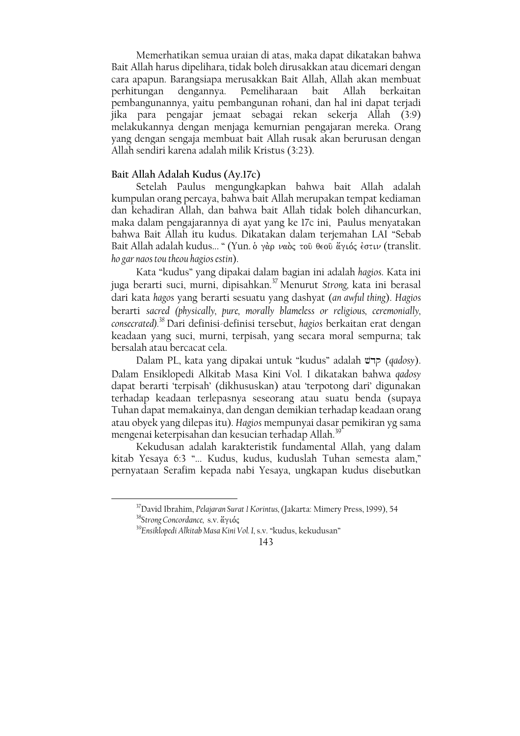Memerhatikan semua uraian di atas, maka dapat dikatakan bahwa Bait Allah harus dipelihara, tidak boleh dirusakkan atau dicemari dengan cara apapun. Barangsiapa merusakkan Bait Allah, Allah akan membuat Pemeliharaan bait perhitungan dengannya. Allah berkaitan pembangunannya, yaitu pembangunan rohani, dan hal ini dapat teriadi jika para pengajar jemaat sebagai rekan sekerja Allah (3:9) melakukannya dengan menjaga kemurnian pengajaran mereka. Orang yang dengan sengaja membuat bait Allah rusak akan berurusan dengan Allah sendiri karena adalah milik Kristus (3:23).

#### Bait Allah Adalah Kudus (Ay.17c)

Setelah Paulus mengungkapkan bahwa bait Allah adalah kumpulan orang percaya, bahwa bait Allah merupakan tempat kediaman dan kehadiran Allah, dan bahwa bait Allah tidak boleh dihancurkan, maka dalam pengajarannya di ayat yang ke 17c ini, Paulus menyatakan bahwa Bait Allah itu kudus. Dikatakan dalam terjemahan LAI "Sebab Bait Allah adalah kudus... " (Yun. ὁ γὰρ ναὸς τοῦ θεοῦ ἄγιός ἐστιν (translit. ho gar naos tou theou hagios estin).

Kata "kudus" yang dipakai dalam bagian ini adalah hagios. Kata ini juga berarti suci, murni, dipisahkan.<sup>37</sup> Menurut Strong, kata ini berasal dari kata hagos yang berarti sesuatu yang dashyat (an awful thing). Hagios berarti sacred (physically, pure, morally blameless or religious, ceremonially, consecrated).<sup>38</sup> Dari definisi-definisi tersebut, hagios berkaitan erat dengan keadaan yang suci, murni, terpisah, yang secara moral sempurna; tak bersalah atau bercacat cela.

Dalam PL, kata yang dipakai untuk "kudus" adalah קרט (qadosy). Dalam Ensiklopedi Alkitab Masa Kini Vol. I dikatakan bahwa qadosy dapat berarti 'terpisah' (dikhususkan) atau 'terpotong dari' digunakan terhadap keadaan terlepasnya seseorang atau suatu benda (supaya Tuhan dapat memakainya, dan dengan demikian terhadap keadaan orang atau obyek yang dilepas itu). Hagios mempunyai dasar pemikiran yg sama mengenai keterpisahan dan kesucian terhadap Allah.<sup>39</sup>

Kekudusan adalah karakteristik fundamental Allah, yang dalam kitab Yesaya 6:3 "... Kudus, kudus, kuduslah Tuhan semesta alam," pernyataan Serafim kepada nabi Yesaya, ungkapan kudus disebutkan

<sup>&</sup>lt;sup>37</sup>David Ibrahim, Pelajaran Surat 1 Korintus, (Jakarta: Mimery Press, 1999), 54 <sup>38</sup>Strong Concordance, s.v. άγιός

<sup>&</sup>lt;sup>39</sup>Ensiklopedi Alkitab Masa Kini Vol. I, s.v. "kudus, kekudusan"

<sup>143</sup>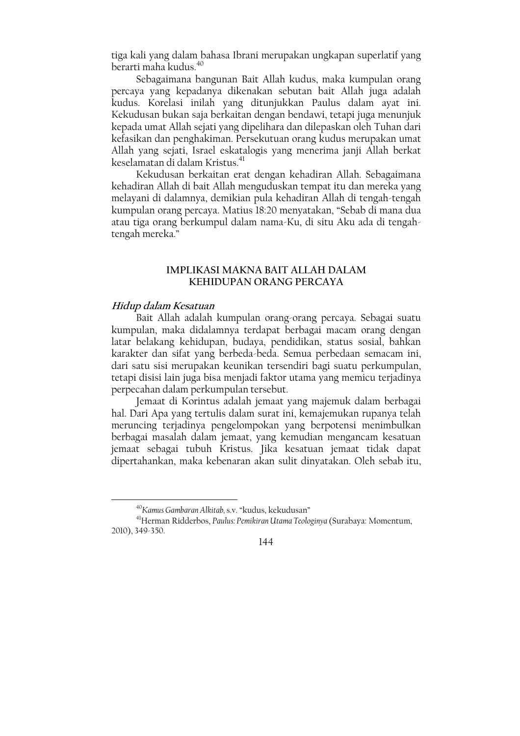tiga kali yang dalam bahasa Ibrani merupakan ungkapan superlatif yang berarti maha kudus.<sup>40</sup>

Sebagaimana bangunan Bait Allah kudus, maka kumpulan orang percaya yang kepadanya dikenakan sebutan bait Allah juga adalah kudus. Korelasi inilah yang ditunjukkan Paulus dalam ayat ini. Kekudusan bukan saja berkaitan dengan bendawi, tetapi juga menunjuk kepada umat Allah sejati yang dipelihara dan dilepaskan oleh Tuhan dari kefasikan dan penghakiman. Persekutuan orang kudus merupakan umat Allah yang sejati, Israel eskatalogis yang menerima janji Allah berkat keselamatan di dalam Kristus.<sup>41</sup>

Kekudusan berkaitan erat dengan kehadiran Allah. Sebagaimana kehadiran Allah di bait Allah menguduskan tempat itu dan mereka yang melayani di dalamnya, demikian pula kehadiran Allah di tengah-tengah kumpulan orang percaya. Matius 18:20 menyatakan, "Sebab di mana dua atau tiga orang berkumpul dalam nama-Ku, di situ Aku ada di tengahtengah mereka."

### **IMPLIKASI MAKNA BAIT ALLAH DALAM** KEHIDUPAN ORANG PERCAYA

#### Hidup dalam Kesatuan

Bait Allah adalah kumpulan orang-orang percaya. Sebagai suatu kumpulan, maka didalamnya terdapat berbagai macam orang dengan latar belakang kehidupan, budaya, pendidikan, status sosial, bahkan karakter dan sifat yang berbeda-beda. Semua perbedaan semacam ini, dari satu sisi merupakan keunikan tersendiri bagi suatu perkumpulan, tetapi disisi lain juga bisa menjadi faktor utama yang memicu terjadinya perpecahan dalam perkumpulan tersebut.

Jemaat di Korintus adalah jemaat yang majemuk dalam berbagai hal. Dari Apa yang tertulis dalam surat ini, kemajemukan rupanya telah meruncing terjadinya pengelompokan yang berpotensi menimbulkan berbagai masalah dalam jemaat, yang kemudian mengancam kesatuan jemaat sebagai tubuh Kristus. Jika kesatuan jemaat tidak dapat dipertahankan, maka kebenaran akan sulit dinyatakan. Oleh sebab itu,

<sup>&</sup>lt;sup>40</sup> Kamus Gambaran Alkitab, s.v. "kudus, kekudusan"

<sup>&</sup>lt;sup>41</sup>Herman Ridderbos, Paulus: Pemikiran Utama Teologinya (Surabaya: Momentum, 2010), 349-350.

<sup>144</sup>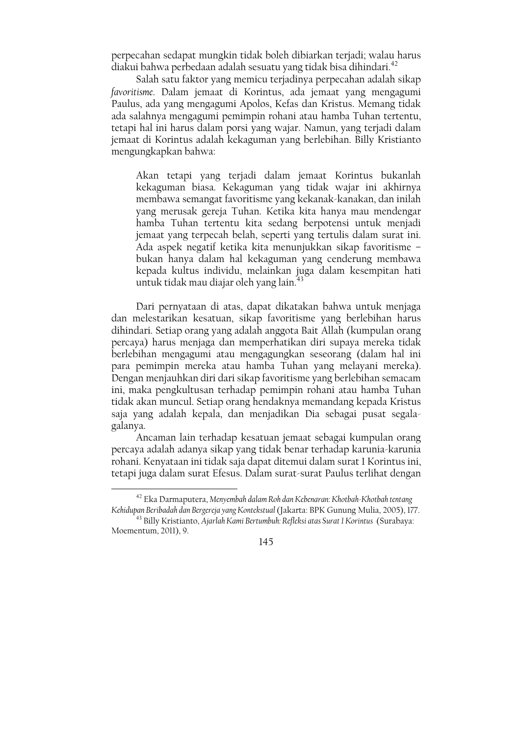perpecahan sedapat mungkin tidak boleh dibiarkan terjadi; walau harus diakui bahwa perbedaan adalah sesuatu yang tidak bisa dihindari.<sup>42</sup>

Salah satu faktor yang memicu terjadinya perpecahan adalah sikap favoritisme. Dalam jemaat di Korintus, ada jemaat vang mengagumi Paulus, ada yang mengagumi Apolos, Kefas dan Kristus. Memang tidak ada salahnya mengagumi pemimpin rohani atau hamba Tuhan tertentu, tetapi hal ini harus dalam porsi yang wajar. Namun, yang terjadi dalam jemaat di Korintus adalah kekaguman yang berlebihan. Billy Kristianto mengungkapkan bahwa:

Akan tetapi yang terjadi dalam jemaat Korintus bukanlah kekaguman biasa. Kekaguman yang tidak wajar ini akhirnya membawa semangat favoritisme yang kekanak-kanakan, dan inilah yang merusak gereja Tuhan. Ketika kita hanya mau mendengar hamba Tuhan tertentu kita sedang berpotensi untuk menjadi jemaat yang terpecah belah, seperti yang tertulis dalam surat ini. Ada aspek negatif ketika kita menunjukkan sikap favoritisme bukan hanya dalam hal kekaguman yang cenderung membawa kepada kultus individu, melainkan juga dalam kesempitan hati untuk tidak mau diajar oleh yang lain.<sup>43</sup>

Dari pernyataan di atas, dapat dikatakan bahwa untuk menjaga dan melestarikan kesatuan, sikap favoritisme yang berlebihan harus dihindari. Setiap orang yang adalah anggota Bait Allah (kumpulan orang percaya) harus menjaga dan memperhatikan diri supaya mereka tidak berlebihan mengagumi atau mengagungkan seseorang (dalam hal ini para pemimpin mereka atau hamba Tuhan yang melayani mereka). Dengan menjauhkan diri dari sikap favoritisme yang berlebihan semacam ini, maka pengkultusan terhadap pemimpin rohani atau hamba Tuhan tidak akan muncul. Setiap orang hendaknya memandang kepada Kristus saja yang adalah kepala, dan menjadikan Dia sebagai pusat segalagalanya.

Ancaman lain terhadap kesatuan jemaat sebagai kumpulan orang percaya adalah adanya sikap yang tidak benar terhadap karunia-karunia rohani. Kenyataan ini tidak saja dapat ditemui dalam surat 1 Korintus ini, tetapi juga dalam surat Efesus. Dalam surat-surat Paulus terlihat dengan

<sup>&</sup>lt;sup>42</sup> Eka Darmaputera, Menyembah dalam Roh dan Kebenaran: Khotbah-Khotbah tentang Kehidupan Beribadah dan Bergereja yang Kontekstual (Jakarta: BPK Gunung Mulia, 2005), 177.

<sup>&</sup>lt;sup>43</sup> Billy Kristianto, Ajarlah Kami Bertumbuh: Refleksi atas Surat 1 Korintus (Surabaya: Moementum, 2011), 9.

<sup>145</sup>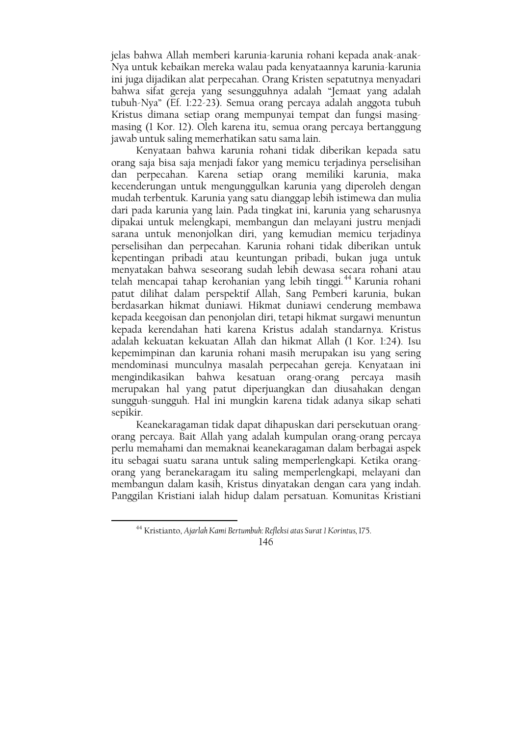jelas bahwa Allah memberi karunia-karunia rohani kepada anak-anak-Nya untuk kebaikan mereka walau pada kenyataannya karunia-karunia ini juga dijadikan alat perpecahan. Orang Kristen sepatutnya menyadari bahwa sifat gereja yang sesungguhnya adalah "Jemaat yang adalah tubuh-Nya" (Ef. 1:22-23). Semua orang percaya adalah anggota tubuh Kristus dimana setiap orang mempunyai tempat dan fungsi masingmasing (1 Kor. 12). Oleh karena itu, semua orang percaya bertanggung jawab untuk saling memerhatikan satu sama lain.

Kenyataan bahwa karunia rohani tidak diberikan kepada satu orang saja bisa saja menjadi fakor yang memicu terjadinya perselisihan dan perpecahan. Karena setiap orang memiliki karunia, maka kecenderungan untuk mengunggulkan karunia yang diperoleh dengan mudah terbentuk. Karunia yang satu dianggap lebih istimewa dan mulia dari pada karunia yang lain. Pada tingkat ini, karunia yang seharusnya dipakai untuk melengkapi, membangun dan melayani justru menjadi sarana untuk menonjolkan diri, yang kemudian memicu terjadinya perselisihan dan perpecahan. Karunia rohani tidak diberikan untuk kepentingan pribadi atau keuntungan pribadi, bukan juga untuk menyatakan bahwa seseorang sudah lebih dewasa secara rohani atau telah mencapai tahap kerohanian yang lebih tinggi.<sup>44</sup> Karunia rohani patut dilihat dalam perspektif Allah, Sang Pemberi karunia, bukan berdasarkan hikmat duniawi. Hikmat duniawi cenderung membawa kepada keegoisan dan penonjolan diri, tetapi hikmat surgawi menuntun kepada kerendahan hati karena Kristus adalah standarnya. Kristus adalah kekuatan kekuatan Allah dan hikmat Allah (1 Kor. 1:24). Isu kepemimpinan dan karunia rohani masih merupakan isu yang sering mendominasi munculnya masalah perpecahan gereja. Kenyataan ini mengindikasikan bahwa kesatuan orang-orang percaya masih merupakan hal yang patut diperjuangkan dan diusahakan dengan sungguh-sungguh. Hal ini mungkin karena tidak adanya sikap sehati sepikir.

Keanekaragaman tidak dapat dihapuskan dari persekutuan orangorang percaya. Bait Allah yang adalah kumpulan orang-orang percaya perlu memahami dan memaknai keanekaragaman dalam berbagai aspek itu sebagai suatu sarana untuk saling memperlengkapi. Ketika orangorang yang beranekaragam itu saling memperlengkapi, melayani dan membangun dalam kasih, Kristus dinyatakan dengan cara yang indah. Panggilan Kristiani ialah hidup dalam persatuan. Komunitas Kristiani

<sup>&</sup>lt;sup>44</sup> Kristianto, Ajarlah Kami Bertumbuh: Refleksi atas Surat 1 Korintus, 175.

<sup>146</sup>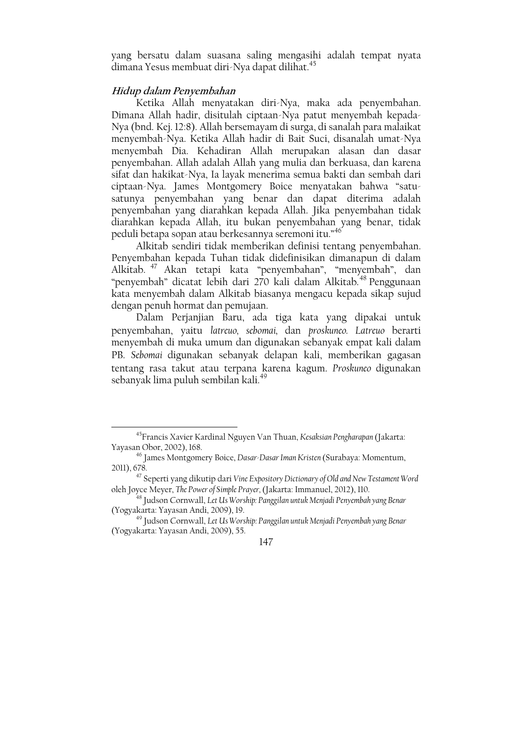yang bersatu dalam suasana saling mengasihi adalah tempat nyata dimana Yesus membuat diri-Nya dapat dilihat.<sup>45</sup>

### Hidup dalam Penyembahan

.<br>Ketika Allah menyatakan diri-Nya, maka ada penyembahan. Dimana Allah hadir, disitulah ciptaan-Nya patut menyembah kepada-Nya (bnd. Kej. 12:8). Allah bersemayam di surga, di sanalah para malaikat menyembah-Nya. Ketika Allah hadir di Bait Suci, disanalah umat-Nya menyembah Dia. Kehadiran Allah merupakan alasan dan dasar penyembahan. Allah adalah Allah yang mulia dan berkuasa, dan karena sifat dan hakikat-Nya, Ia layak menerima semua bakti dan sembah dari ciptaan-Nya. James Montgomery Boice menyatakan bahwa "satusatunya penyembahan yang benar dan dapat diterima adalah penyembahan yang diarahkan kepada Allah. Jika penyembahan tidak diarahkan kepada Allah, itu bukan penyembahan yang benar, tidak peduli betapa sopan atau berkesannya seremoni itu."<sup>46</sup>

Alkitab sendiri tidak memberikan definisi tentang penyembahan. Penyembahan kepada Tuhan tidak didefinisikan dimanapun di dalam Alkitab.<sup>47</sup> Akan tetapi kata "penyembahan", "menyembah", dan "penyembah" dicatat lebih dari 270 kali dalam Alkitab.<sup>48</sup> Penggunaan kata menyembah dalam Alkitab biasanya mengacu kepada sikap sujud dengan penuh hormat dan pemujaan.

Dalam Perjanjian Baru, ada tiga kata yang dipakai untuk penyembahan, yaitu latreuo, sebomai, dan proskuneo. Latreuo berarti menyembah di muka umum dan digunakan sebanyak empat kali dalam PB. Sebomai digunakan sebanyak delapan kali, memberikan gagasan tentang rasa takut atau terpana karena kagum. Proskuneo digunakan sebanyak lima puluh sembilan kali.<sup>49</sup>

<sup>&</sup>lt;sup>45</sup> Francis Xavier Kardinal Nguyen Van Thuan, Kesaksian Pengharapan (Jakarta: Yayasan Obor, 2002), 168.

<sup>&</sup>lt;sup>46</sup> James Montgomery Boice, Dasar-Dasar Iman Kristen (Surabaya: Momentum, 2011), 678.

<sup>&</sup>lt;sup>47</sup> Seperti yang dikutip dari Vine Expository Dictionary of Old and New Testament Word oleh Joyce Meyer, The Power of Simple Prayer, (Jakarta: Immanuel, 2012), 110.

<sup>&</sup>lt;sup>48</sup> Judson Cornwall, Let Us Worship: Panggilan untuk Menjadi Penyembah yang Benar (Yogyakarta: Yayasan Andi, 2009), 19.

<sup>&</sup>lt;sup>49</sup> Judson Cornwall, Let Us Worship: Panggilan untuk Menjadi Penyembah yang Benar (Yogyakarta: Yayasan Andi, 2009), 55.

<sup>147</sup>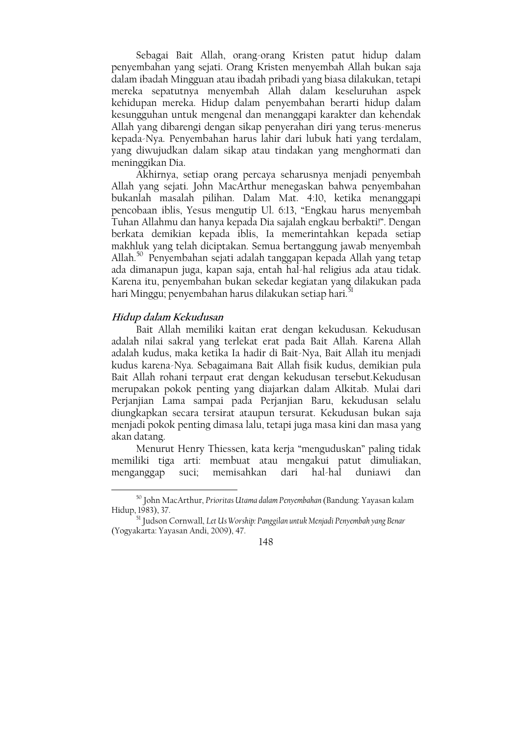Sebagai Bait Allah, orang-orang Kristen patut hidup dalam penyembahan yang sejati. Orang Kristen menyembah Allah bukan saja dalam ibadah Mingguan atau ibadah pribadi yang biasa dilakukan, tetapi mereka sepatutnya menyembah Allah dalam keseluruhan aspek kehidupan mereka. Hidup dalam penyembahan berarti hidup dalam kesungguhan untuk mengenal dan menanggapi karakter dan kehendak Allah yang dibarengi dengan sikap penyerahan diri yang terus-menerus kepada-Nya. Penyembahan harus lahir dari lubuk hati yang terdalam, yang diwujudkan dalam sikap atau tindakan yang menghormati dan meninggikan Dia.

Akhirnya, setiap orang percaya seharusnya menjadi penyembah Allah yang sejati. John MacArthur menegaskan bahwa penyembahan bukanlah masalah pilihan. Dalam Mat. 4:10, ketika menanggapi pencobaan iblis, Yesus mengutip Ul. 6:13, "Engkau harus menyembah Tuhan Allahmu dan hanya kepada Dia sajalah engkau berbakti!". Dengan berkata demikian kepada iblis, Ia memerintahkan kepada setiap makhluk yang telah diciptakan. Semua bertanggung jawab menyembah Allah.<sup>50</sup> Penyembahan sejati adalah tanggapan kepada Allah yang tetap ada dimanapun juga, kapan saja, entah hal-hal religius ada atau tidak. Karena itu, penyembahan bukan sekedar kegiatan yang dilakukan pada hari Minggu; penyembahan harus dilakukan setiap hari.<sup>31</sup>

### Hidup dalam Kekudusan

Bait Allah memiliki kaitan erat dengan kekudusan. Kekudusan adalah nilai sakral yang terlekat erat pada Bait Allah. Karena Allah adalah kudus, maka ketika Ia hadir di Bait-Nya, Bait Allah itu menjadi kudus karena-Nya. Sebagaimana Bait Allah fisik kudus, demikian pula Bait Allah rohani terpaut erat dengan kekudusan tersebut.Kekudusan merupakan pokok penting yang diajarkan dalam Alkitab. Mulai dari Perjanjian Lama sampai pada Perjanjian Baru, kekudusan selalu diungkapkan secara tersirat ataupun tersurat. Kekudusan bukan saja menjadi pokok penting dimasa lalu, tetapi juga masa kini dan masa yang akan datang.

Menurut Henry Thiessen, kata kerja "menguduskan" paling tidak memiliki tiga arti: membuat atau mengakui patut dimuliakan, menganggap suci; memisahkan dari hal-hal duniawi dan

<sup>&</sup>lt;sup>50</sup> John MacArthur, Prioritas Utama dalam Penyembahan (Bandung: Yayasan kalam Hidup, 1983), 37.

<sup>&</sup>lt;sup>51</sup> Judson Cornwall, Let Us Worship: Panggilan untuk Menjadi Penyembah yang Benar (Yogyakarta: Yayasan Andi, 2009), 47.

<sup>148</sup>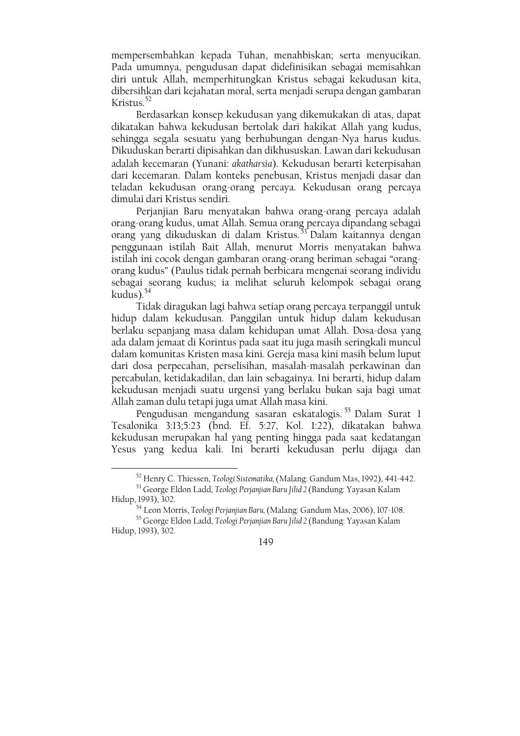mempersembahkan kepada Tuhan, menahbiskan; serta menyucikan. Pada umumnya, pengudusan dapat didefinisikan sebagai memisahkan diri untuk Allah, memperhitungkan Kristus sebagai kekudusan kita, dibersihkan dari kejahatan moral, serta menjadi serupa dengan gambaran Kristus. $52$ 

Berdasarkan konsep kekudusan yang dikemukakan di atas, dapat dikatakan bahwa kekudusan bertolak dari hakikat Allah yang kudus, sehingga segala sesuatu yang berhubungan dengan-Nya harus kudus. Dikuduskan berarti dipisahkan dan dikhususkan. Lawan dari kekudusan adalah kecemaran (Yunani: akatharsia). Kekudusan berarti keterpisahan dari kecemaran. Dalam konteks penebusan, Kristus menjadi dasar dan teladan kekudusan orang-orang percaya. Kekudusan orang percaya dimulai dari Kristus sendiri.

Perjanjian Baru menyatakan bahwa orang-orang percaya adalah orang-orang kudus, umat Allah. Semua orang percaya dipandang sebagai orang yang dikuduskan di dalam Kristus.<sup>53</sup> Dalam kaitannya dengan penggunaan istilah Bait Allah, menurut Morris menyatakan bahwa istilah ini cocok dengan gambaran orang-orang beriman sebagai "orangorang kudus" (Paulus tidak pernah berbicara mengenai seorang individu sebagai seorang kudus; ia melihat seluruh kelompok sebagai orang kudus). $54$ 

Tidak diragukan lagi bahwa setiap orang percaya terpanggil untuk hidup dalam kekudusan. Panggilan untuk hidup dalam kekudusan berlaku sepanjang masa dalam kehidupan umat Allah. Dosa-dosa yang ada dalam jemaat di Korintus pada saat itu juga masih seringkali muncul dalam komunitas Kristen masa kini. Gereja masa kini masih belum luput dari dosa perpecahan, perselisihan, masalah-masalah perkawinan dan percabulan, ketidakadilan, dan lain sebagainya. Ini berarti, hidup dalam kekudusan menjadi suatu urgensi yang berlaku bukan saja bagi umat Allah zaman dulu tetapi juga umat Allah masa kini.

Pengudusan mengandung sasaran eskatalogis.<sup>55</sup> Dalam Surat 1 Tesalonika 3:13;5:23 (bnd. Ef. 5:27, Kol. 1:22), dikatakan bahwa kekudusan merupakan hal yang penting hingga pada saat kedatangan Yesus yang kedua kali. Ini berarti kekudusan perlu dijaga dan

<sup>&</sup>lt;sup>52</sup> Henry C. Thiessen, Teologi Sistematika, (Malang: Gandum Mas, 1992), 441-442.

<sup>&</sup>lt;sup>53</sup> George Eldon Ladd, Teologi Perjanjian Baru Jilid 2 (Bandung: Yayasan Kalam Hidup, 1993), 302.

<sup>54</sup> Leon Morris, Teologi Perjanjian Baru, (Malang: Gandum Mas, 2006), 107-108.

<sup>55</sup> George Eldon Ladd, Teologi Perjanjian Baru Jilid 2 (Bandung: Yayasan Kalam Hidup, 1993), 302.

<sup>149</sup>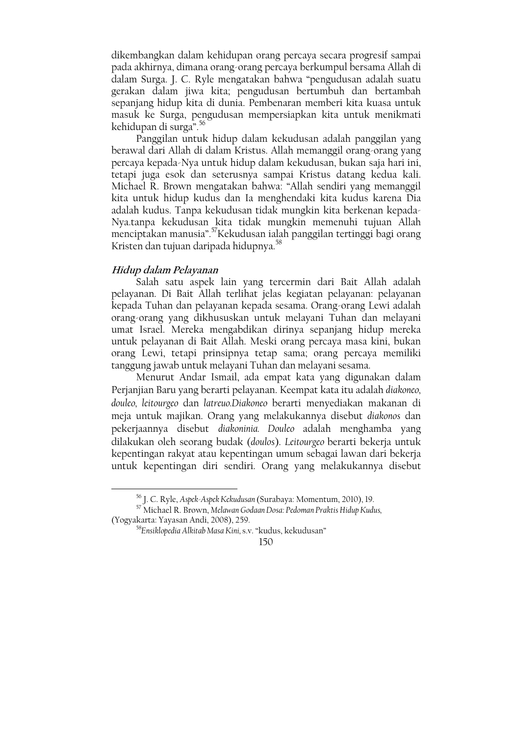dikembangkan dalam kehidupan orang percaya secara progresif sampai pada akhirnya, dimana orang-orang percaya berkumpul bersama Allah di dalam Surga. J. C. Ryle mengatakan bahwa "pengudusan adalah suatu gerakan dalam jiwa kita; pengudusan bertumbuh dan bertambah sepaniang hidup kita di dunia. Pembenaran memberi kita kuasa untuk masuk ke Surga, pengudusan mempersiapkan kita untuk menikmati kehidupan di surga".<sup>56</sup>

Panggilan untuk hidup dalam kekudusan adalah panggilan yang berawal dari Allah di dalam Kristus. Allah memanggil orang-orang yang percaya kepada-Nya untuk hidup dalam kekudusan, bukan saja hari ini, tetapi juga esok dan seterusnya sampai Kristus datang kedua kali. Michael R. Brown mengatakan bahwa: "Allah sendiri yang memanggil kita untuk hidup kudus dan Ia menghendaki kita kudus karena Dia adalah kudus. Tanpa kekudusan tidak mungkin kita berkenan kepada-Nya.tanpa kekudusan kita tidak mungkin memenuhi tujuan Allah menciptakan manusia".<sup>57</sup>Kekudusan ialah panggilan tertinggi bagi orang Kristen dan tujuan daripada hidupnya.<sup>58</sup>

#### Hidup dalam Pelayanan

Salah satu aspek lain yang tercermin dari Bait Allah adalah pelayanan. Di Bait Allah terlihat jelas kegiatan pelayanan: pelayanan kepada Tuhan dan pelayanan kepada sesama. Orang-orang Lewi adalah orang-orang yang dikhususkan untuk melayani Tuhan dan melayani umat Israel. Mereka mengabdikan dirinya sepanjang hidup mereka untuk pelayanan di Bait Allah. Meski orang percaya masa kini, bukan orang Lewi, tetapi prinsipnya tetap sama; orang percaya memiliki tanggung jawab untuk melayani Tuhan dan melayani sesama.

Menurut Andar Ismail, ada empat kata yang digunakan dalam Perjanjian Baru yang berarti pelayanan. Keempat kata itu adalah diakoneo, douleo, leitourgeo dan latreuo.Diakoneo berarti menyediakan makanan di meja untuk majikan. Orang yang melakukannya disebut diakonos dan pekerjaannya disebut diakoninia. Douleo adalah menghamba yang dilakukan oleh seorang budak (doulos). Leitourgeo berarti bekerja untuk kepentingan rakyat atau kepentingan umum sebagai lawan dari bekerja untuk kepentingan diri sendiri. Orang yang melakukannya disebut

<sup>&</sup>lt;sup>56</sup> J. C. Ryle, *Aspek-Aspek Kekudusan* (Surabaya: Momentum, 2010), 19.<br><sup>57</sup> Michael R. Brown, Melawan Godaan Dosa: Pedoman Praktis Hidup Kudus,

<sup>(</sup>Yogyakarta: Yayasan Andi, 2008), 259.

<sup>&</sup>lt;sup>58</sup>Ensiklopedia Alkitab Masa Kini, s.v. "kudus, kekudusan"

 $150$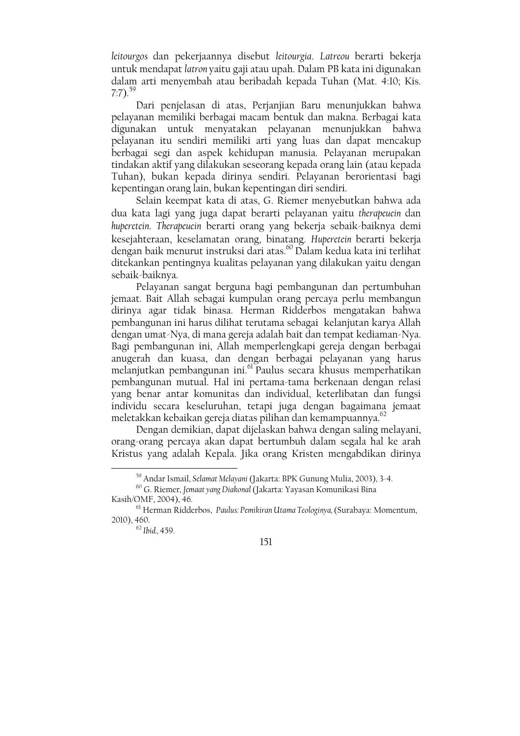leitourgos dan pekerjaannya disebut leitourgia. Latreou berarti bekerja untuk mendapat latron yaitu gaji atau upah. Dalam PB kata ini digunakan dalam arti menyembah atau beribadah kepada Tuhan (Mat. 4:10; Kis.  $7:7$ ).<sup>59</sup>

Dari penjelasan di atas. Perjanjian Baru menunjukkan bahwa pelayanan memiliki berbagai macam bentuk dan makna. Berbagai kata digunakan untuk menyatakan pelayanan menunjukkan bahwa pelayanan itu sendiri memiliki arti yang luas dan dapat mencakup berbagai segi dan aspek kehidupan manusia. Pelayanan merupakan tindakan aktif yang dilakukan seseorang kepada orang lain (atau kepada Tuhan), bukan kepada dirinya sendiri. Pelayanan berorientasi bagi kepentingan orang lain, bukan kepentingan diri sendiri.

Selain keempat kata di atas, G. Riemer menyebutkan bahwa ada dua kata lagi yang juga dapat berarti pelayanan yaitu therapeuein dan huperetein. Therapeuein berarti orang yang bekerja sebaik-baiknya demi kesejahteraan, keselamatan orang, binatang. Huperetein berarti bekerja dengan baik menurut instruksi dari atas.<sup>60</sup> Dalam kedua kata ini terlihat ditekankan pentingnya kualitas pelayanan yang dilakukan yaitu dengan sebaik-baiknya.

Pelayanan sangat berguna bagi pembangunan dan pertumbuhan jemaat. Bait Allah sebagai kumpulan orang percaya perlu membangun dirinya agar tidak binasa. Herman Ridderbos mengatakan bahwa pembangunan ini harus dilihat terutama sebagai kelanjutan karya Allah dengan umat-Nya, di mana gereja adalah bait dan tempat kediaman-Nya. Bagi pembangunan ini, Allah memperlengkapi gereja dengan berbagai anugerah dan kuasa, dan dengan berbagai pelayanan yang harus melanjutkan pembangunan ini.<sup>61</sup> Paulus secara khusus memperhatikan pembangunan mutual. Hal ini pertama-tama berkenaan dengan relasi yang benar antar komunitas dan individual, keterlibatan dan fungsi individu secara keseluruhan, tetapi juga dengan bagaimana jemaat meletakkan kebaikan gereja diatas pilihan dan kemampuannya.<sup>62</sup>

Dengan demikian, dapat dijelaskan bahwa dengan saling melayani, orang-orang percaya akan dapat bertumbuh dalam segala hal ke arah Kristus yang adalah Kepala. Jika orang Kristen mengabdikan dirinya

<sup>&</sup>lt;sup>59</sup> Andar Ismail, Selamat Melayani (Jakarta: BPK Gunung Mulia, 2003), 3-4.

 $^{60}$  G. Riemer, Jemaat yang Diakonal (Jakarta: Yayasan Komunikasi Bina Kasih/OMF, 2004), 46.

<sup>&</sup>lt;sup>61</sup> Herman Ridderbos, Paulus: Pemikiran Utama Teologinya, (Surabaya: Momentum, 2010), 460.

 $62$  Ibid 459

<sup>151</sup>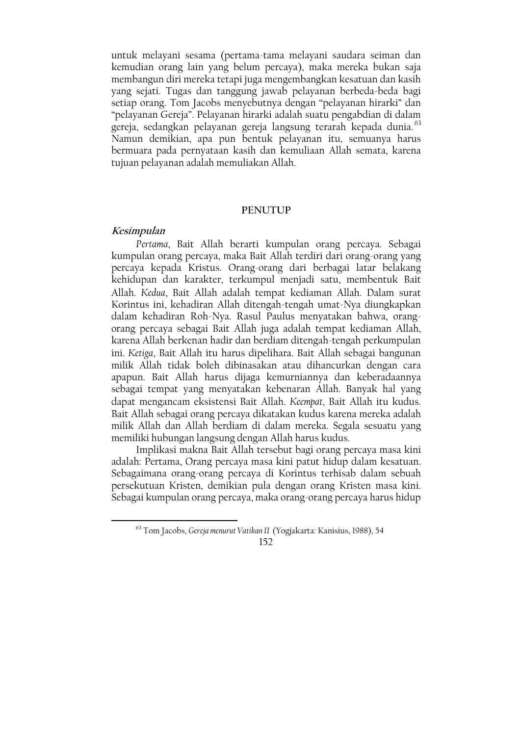untuk melayani sesama (pertama-tama melayani saudara seiman dan kemudian orang lain yang belum percaya), maka mereka bukan saja membangun diri mereka tetapi juga mengembangkan kesatuan dan kasih yang sejati. Tugas dan tanggung jawab pelayanan berbeda-beda bagi setiap orang. Tom Jacobs menyebutnya dengan "pelayanan hirarki" dan "pelayanan Gereja". Pelayanan hirarki adalah suatu pengabdian di dalam gereja, sedangkan pelayanan gereja langsung terarah kepada dunia.<sup>63</sup> Namun demikian, apa pun bentuk pelayanan itu, semuanya harus bermuara pada pernyataan kasih dan kemuliaan Allah semata, karena tujuan pelayanan adalah memuliakan Allah.

#### **PENUTUP**

### Kesimpulan

Pertama, Bait Allah berarti kumpulan orang percaya. Sebagai kumpulan orang percaya, maka Bait Allah terdiri dari orang-orang yang percaya kepada Kristus. Orang-orang dari berbagai latar belakang kehidupan dan karakter, terkumpul menjadi satu, membentuk Bait Allah. Kedua, Bait Allah adalah tempat kediaman Allah. Dalam surat Korintus ini, kehadiran Allah ditengah-tengah umat-Nya diungkapkan dalam kehadiran Roh-Nya. Rasul Paulus menyatakan bahwa, orangorang percaya sebagai Bait Allah juga adalah tempat kediaman Allah, karena Allah berkenan hadir dan berdiam ditengah-tengah perkumpulan ini. Ketiga, Bait Allah itu harus dipelihara. Bait Allah sebagai bangunan milik Allah tidak boleh dibinasakan atau dihancurkan dengan cara apapun. Bait Allah harus dijaga kemurniannya dan keberadaannya sebagai tempat yang menyatakan kebenaran Allah. Banyak hal yang dapat mengancam eksistensi Bait Allah. Keembat, Bait Allah itu kudus. Bait Allah sebagai orang percaya dikatakan kudus karena mereka adalah milik Allah dan Allah berdiam di dalam mereka. Segala sesuatu yang memiliki hubungan langsung dengan Allah harus kudus.

Implikasi makna Bait Allah tersebut bagi orang percaya masa kini adalah: Pertama, Orang percaya masa kini patut hidup dalam kesatuan. Sebagaimana orang-orang percaya di Korintus terhisab dalam sebuah persekutuan Kristen, demikian pula dengan orang Kristen masa kini. Sebagai kumpulan orang percaya, maka orang-orang percaya harus hidup

<sup>63</sup> Tom Jacobs, Gereja menurut Vatikan II (Yogjakarta: Kanisius, 1988), 54

<sup>152</sup>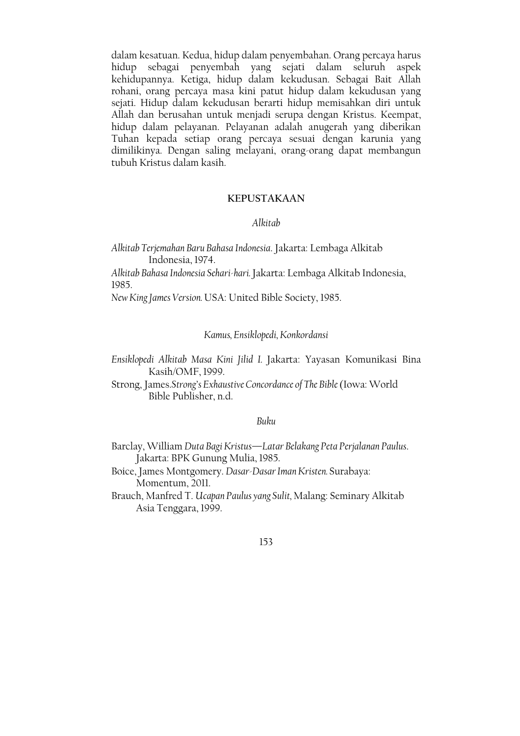dalam kesatuan. Kedua, hidup dalam penyembahan. Orang percaya harus hidup sebagai penyembah yang sejati dalam seluruh aspek<br>kehidupannya Ketiga, hidup dalam kekudusan Sebagai Bait Allah rohani, orang percaya masa kini patut hidup dalam kekudusan yang sejati. Hidup dalam kekudusan berarti hidup memisahkan diri untuk Allah dan berusahan untuk menjadi serupa dengan Kristus. Keempat, hidup dalam pelayanan. Pelayanan adalah anugerah yang diberikan Tuhan kepada setiap orang percaya sesuai dengan karunia yang dimilikinya. Dengan saling melayani, orang-orang dapat membangun tubuh Kristus dalam kasih.

## **KEPUSTAKAAN**

#### Alkitab

Alkitab Terjemahan Baru Bahasa Indonesia. Jakarta: Lembaga Alkitab Indonesia, 1974.

Alkitab Bahasa Indonesia Sehari-hari. Jakarta: Lembaga Alkitab Indonesia, 1985.

New King James Version. USA: United Bible Society, 1985.

### Kamus, Ensiklopedi, Konkordansi

Ensiklopedi Alkitab Masa Kini Jilid I. Jakarta: Yayasan Komunikasi Bina Kasih/OMF, 1999.

Strong, James.Strong's Exhaustive Concordance of The Bible (Iowa: World Bible Publisher, n.d.

## Buku

Barclay, William Duta Bagi Kristus-Latar Belakang Peta Perjalanan Paulus. Jakarta: BPK Gunung Mulia, 1985.

Boice, James Montgomery. Dasar-Dasar Iman Kristen. Surabaya: Momentum, 2011.

Brauch, Manfred T. Ucapan Paulus yang Sulit, Malang: Seminary Alkitab Asia Tenggara, 1999.

#### 153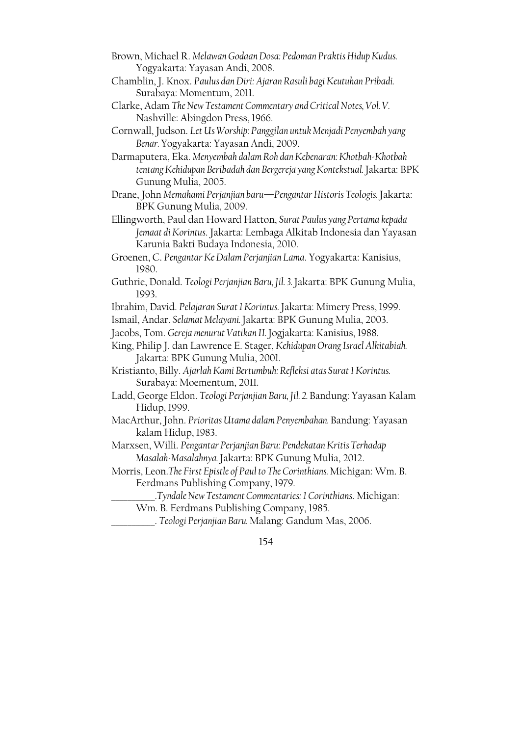- Brown, Michael R. Melawan Godaan Dosa: Pedoman Praktis Hidup Kudus. Yogyakarta: Yayasan Andi, 2008.
- Chamblin, J. Knox. Paulus dan Diri: Ajaran Rasuli bagi Keutuhan Pribadi. Surabaya: Momentum, 2011.
- Clarke, Adam The New Testament Commentary and Critical Notes, Vol. V. Nashville: Abingdon Press, 1966.
- Cornwall, Judson. Let Us Worship: Panggilan untuk Menjadi Penyembah yang Benar. Yogyakarta: Yayasan Andi, 2009.
- Darmaputera, Eka. Menyembah dalam Roh dan Kebenaran: Khotbah-Khotbah tentang Kehidupan Beribadah dan Bergereja yang Kontekstual. Jakarta: BPK Gunung Mulia, 2005.
- Drane, John Memahami Perjanjian baru—Pengantar Historis Teologis. Jakarta: BPK Gunung Mulia, 2009.
- Ellingworth, Paul dan Howard Hatton, Surat Paulus yang Pertama kepada Jemaat di Korintus. Jakarta: Lembaga Alkitab Indonesia dan Yayasan Karunia Bakti Budaya Indonesia, 2010.
- Groenen, C. Pengantar Ke Dalam Perjanjian Lama. Yogyakarta: Kanisius, 1980.
- Guthrie, Donald. Teologi Perjanjian Baru, Jil. 3. Jakarta: BPK Gunung Mulia, 1993.
- Ibrahim, David. Pelajaran Surat 1 Korintus. Jakarta: Mimery Press, 1999.
- Ismail, Andar. Selamat Melayani. Jakarta: BPK Gunung Mulia, 2003.
- Jacobs, Tom. Gereja menurut Vatikan II. Jogjakarta: Kanisius, 1988.
- King, Philip J. dan Lawrence E. Stager, Kehidupan Orang Israel Alkitabiah. Jakarta: BPK Gunung Mulia, 2001.
- Kristianto, Billy. Ajarlah Kami Bertumbuh: Refleksi atas Surat I Korintus. Surabaya: Moementum, 2011.
- Ladd, George Eldon. Teologi Perjanjian Baru, Jil. 2. Bandung: Yayasan Kalam Hidup, 1999.
- MacArthur, John. Prioritas Utama dalam Penyembahan. Bandung: Yayasan kalam Hidup, 1983.
- Marxsen, Willi. Pengantar Perjanjian Baru: Pendekatan Kritis Terhadap Masalah-Masalahnya. Jakarta: BPK Gunung Mulia, 2012.
- Morris, Leon. The First Epistle of Paul to The Corinthians. Michigan: Wm. B. Eerdmans Publishing Company, 1979.
	- .Tyndale New Testament Commentaries: 1 Corinthians. Michigan: Wm. B. Eerdmans Publishing Company, 1985.
	- . Teologi Perjanjian Baru. Malang: Gandum Mas, 2006.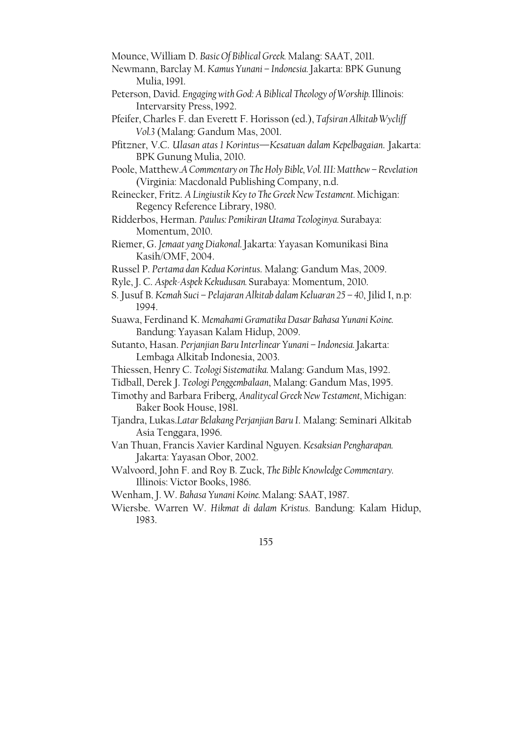Mounce, William D. Basic Of Biblical Greek. Malang: SAAT, 2011.

- Newmann, Barclay M. Kamus Yunani Indonesia. Jakarta: BPK Gunung Mulia, 1991.
- Peterson, David. Engaging with God: A Biblical Theology of Worship. Illinois: Intervarsity Press, 1992.
- Pfeifer, Charles F. dan Everett F. Horisson (ed.), Tafsiran Alkitab Wycliff Vol.3 (Malang: Gandum Mas, 2001.
- Pfitzner, V.C. Ulasan atas 1 Korintus-Kesatuan dalam Kepelbagaian. Jakarta: BPK Gunung Mulia, 2010.
- Poole, Matthew.A Commentary on The Holy Bible, Vol. III: Matthew Revelation (Virginia: Macdonald Publishing Company, n.d.
- Reinecker, Fritz. A Lingiustik Key to The Greek New Testament. Michigan: Regency Reference Library, 1980.
- Ridderbos, Herman. Paulus: Pemikiran Utama Teologinya. Surabaya: Momentum, 2010.
- Riemer, G. Jemaat yang Diakonal. Jakarta: Yayasan Komunikasi Bina Kasih/OMF, 2004.
- Russel P. Pertama dan Kedua Korintus. Malang: Gandum Mas, 2009.
- Ryle, J. C. Aspek-Aspek Kekudusan. Surabaya: Momentum, 2010.
- S. Jusuf B. Kemah Suci Pelajaran Alkitab dalam Keluaran 25 40, Jilid I, n.p. 1994.
- Suawa, Ferdinand K. Memahami Gramatika Dasar Bahasa Yunani Koine. Bandung: Yayasan Kalam Hidup, 2009.
- Sutanto, Hasan. Perjanjian Baru Interlinear Yunani Indonesia. Jakarta: Lembaga Alkitab Indonesia, 2003.
- Thiessen, Henry C. Teologi Sistematika. Malang: Gandum Mas, 1992.
- Tidball, Derek J. Teologi Penggembalaan, Malang: Gandum Mas, 1995.
- Timothy and Barbara Friberg, Analitycal Greek New Testament, Michigan: Baker Book House, 1981.
- Tjandra, Lukas.Latar Belakang Perjanjian Baru I. Malang: Seminari Alkitab Asia Tenggara, 1996.
- Van Thuan, Francis Xavier Kardinal Nguyen. Kesaksian Pengharapan. Jakarta: Yayasan Obor, 2002.
- Walvoord, John F. and Roy B. Zuck, The Bible Knowledge Commentary. Illinois: Victor Books, 1986.

Wenham, J. W. Bahasa Yunani Koine. Malang: SAAT, 1987.

Wiersbe. Warren W. Hikmat di dalam Kristus. Bandung: Kalam Hidup, 1983.